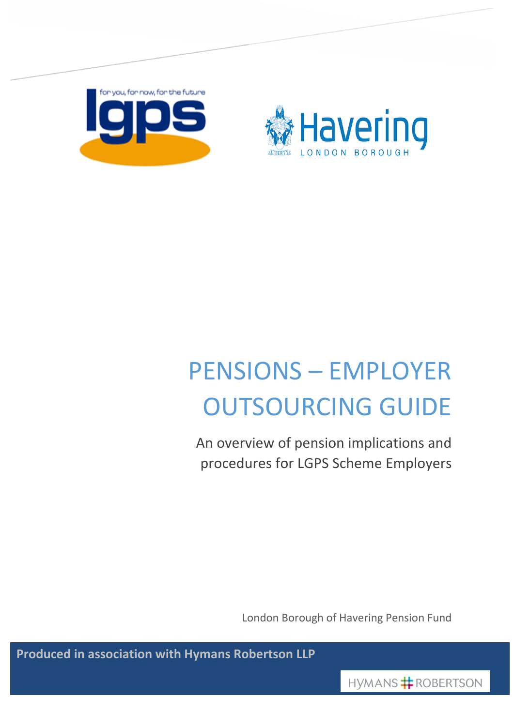



# PENSIONS – EMPLOYER OUTSOURCING GUIDE

An overview of pension implications and procedures for LGPS Scheme Employers

London Borough of Havering Pension Fund

**Produced in association with Hymans Robertson LLP** 

HYMANS **#** ROBERTSON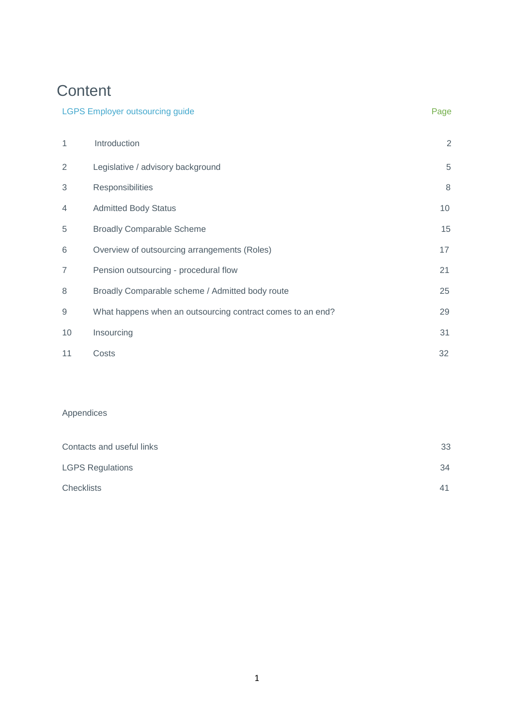# **Content**

### LGPS Employer outsourcing guide **Page** Page 2014 1999 and 2014 2015 2016

| 1  | Introduction                                               | $\overline{2}$ |
|----|------------------------------------------------------------|----------------|
| 2  | Legislative / advisory background                          | 5              |
| 3  | Responsibilities                                           | 8              |
| 4  | <b>Admitted Body Status</b>                                | 10             |
| 5  | <b>Broadly Comparable Scheme</b>                           | 15             |
| 6  | Overview of outsourcing arrangements (Roles)               | 17             |
| 7  | Pension outsourcing - procedural flow                      | 21             |
| 8  | Broadly Comparable scheme / Admitted body route            | 25             |
| 9  | What happens when an outsourcing contract comes to an end? | 29             |
| 10 | Insourcing                                                 | 31             |
| 11 | Costs                                                      | 32             |

### Appendices

| Contacts and useful links | 33 |
|---------------------------|----|
| <b>LGPS Regulations</b>   | 34 |
| <b>Checklists</b>         | 41 |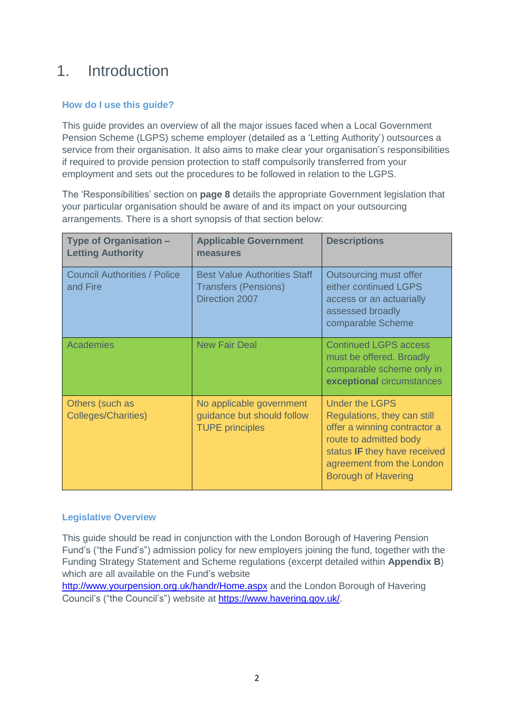# 1. Introduction

### **How do I use this guide?**

 This guide provides an overview of all the major issues faced when a Local Government Pension Scheme (LGPS) scheme employer (detailed as a 'Letting Authority') outsources a service from their organisation. It also aims to make clear your organisation's responsibilities if required to provide pension protection to staff compulsorily transferred from your employment and sets out the procedures to be followed in relation to the LGPS.

 The 'Responsibilities' section on **page 8** details the appropriate Government legislation that your particular organisation should be aware of and its impact on your outsourcing arrangements. There is a short synopsis of that section below:

| <b>Type of Organisation -</b><br><b>Letting Authority</b> | <b>Applicable Government</b><br>measures                                             | <b>Descriptions</b>                                                                                                                                                                                       |
|-----------------------------------------------------------|--------------------------------------------------------------------------------------|-----------------------------------------------------------------------------------------------------------------------------------------------------------------------------------------------------------|
| <b>Council Authorities / Police</b><br>and Fire           | <b>Best Value Authorities Staff</b><br><b>Transfers (Pensions)</b><br>Direction 2007 | Outsourcing must offer<br>either continued LGPS<br>access or an actuarially<br>assessed broadly<br>comparable Scheme                                                                                      |
| <b>Academies</b>                                          | <b>New Fair Deal</b>                                                                 | <b>Continued LGPS access</b><br>must be offered. Broadly<br>comparable scheme only in<br>exceptional circumstances                                                                                        |
| Others (such as<br><b>Colleges/Charities)</b>             | No applicable government<br>guidance but should follow<br><b>TUPE principles</b>     | <b>Under the LGPS</b><br>Regulations, they can still<br>offer a winning contractor a<br>route to admitted body<br>status IF they have received<br>agreement from the London<br><b>Borough of Havering</b> |

#### **Legislative Overview**

 This guide should be read in conjunction with the London Borough of Havering Pension Fund's ("the Fund's") admission policy for new employers joining the fund, together with the Funding Strategy Statement and Scheme regulations (excerpt detailed within **Appendix B**) which are all available on the Fund's website

http://www.yourpension.org.uk/handr/Home.aspx and the London Borough of Havering Council's ("the Council's") website at https://www.havering.gov.uk/.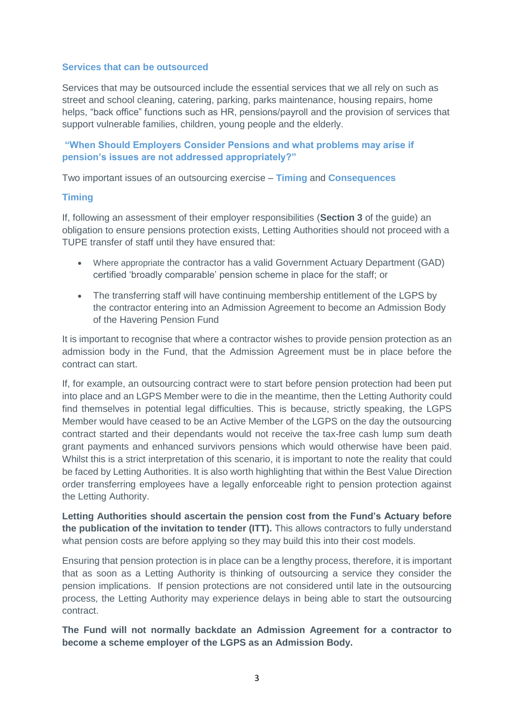#### **Services that can be outsourced**

 Services that may be outsourced include the essential services that we all rely on such as street and school cleaning, catering, parking, parks maintenance, housing repairs, home helps, "back office" functions such as HR, pensions/payroll and the provision of services that support vulnerable families, children, young people and the elderly.

 **"When Should Employers Consider Pensions and what problems may arise if pension's issues are not addressed appropriately?"**

Two important issues of an outsourcing exercise – **Timing** and **Consequences** 

#### **Timing**

 If, following an assessment of their employer responsibilities (**Section 3** of the guide) an obligation to ensure pensions protection exists, Letting Authorities should not proceed with a TUPE transfer of staff until they have ensured that:

- Where appropriate the contractor has a valid Government Actuary Department (GAD) certified 'broadly comparable' pension scheme in place for the staff; or
- The transferring staff will have continuing membership entitlement of the LGPS by the contractor entering into an Admission Agreement to become an Admission Body of the Havering Pension Fund

 It is important to recognise that where a contractor wishes to provide pension protection as an admission body in the Fund, that the Admission Agreement must be in place before the contract can start.

 If, for example, an outsourcing contract were to start before pension protection had been put into place and an LGPS Member were to die in the meantime, then the Letting Authority could find themselves in potential legal difficulties. This is because, strictly speaking, the LGPS Member would have ceased to be an Active Member of the LGPS on the day the outsourcing contract started and their dependants would not receive the tax-free cash lump sum death grant payments and enhanced survivors pensions which would otherwise have been paid. Whilst this is a strict interpretation of this scenario, it is important to note the reality that could be faced by Letting Authorities. It is also worth highlighting that within the Best Value Direction order transferring employees have a legally enforceable right to pension protection against the Letting Authority.

 **Letting Authorities should ascertain the pension cost from the Fund's Actuary before the publication of the invitation to tender (ITT).** This allows contractors to fully understand what pension costs are before applying so they may build this into their cost models.

 Ensuring that pension protection is in place can be a lengthy process, therefore, it is important that as soon as a Letting Authority is thinking of outsourcing a service they consider the pension implications. If pension protections are not considered until late in the outsourcing process, the Letting Authority may experience delays in being able to start the outsourcing contract.

 **The Fund will not normally backdate an Admission Agreement for a contractor to become a scheme employer of the LGPS as an Admission Body.**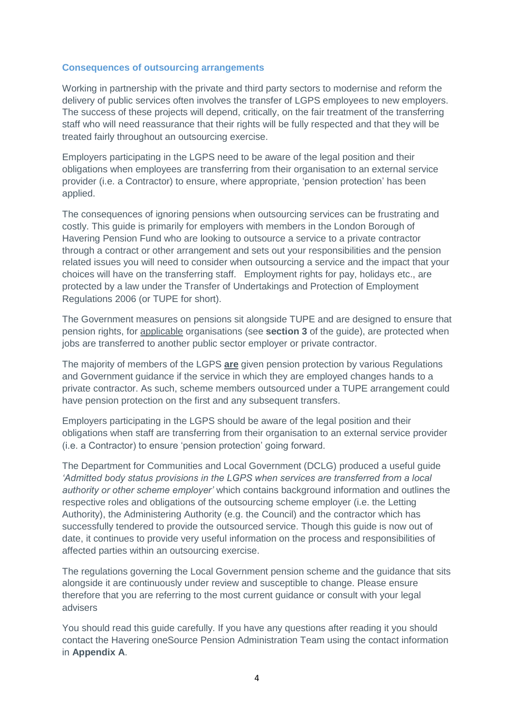#### **Consequences of outsourcing arrangements**

 Working in partnership with the private and third party sectors to modernise and reform the delivery of public services often involves the transfer of LGPS employees to new employers. The success of these projects will depend, critically, on the fair treatment of the transferring staff who will need reassurance that their rights will be fully respected and that they will be treated fairly throughout an outsourcing exercise.

 Employers participating in the LGPS need to be aware of the legal position and their obligations when employees are transferring from their organisation to an external service provider (i.e. a Contractor) to ensure, where appropriate, 'pension protection' has been applied.

 The consequences of ignoring pensions when outsourcing services can be frustrating and costly. This guide is primarily for employers with members in the London Borough of Havering Pension Fund who are looking to outsource a service to a private contractor through a contract or other arrangement and sets out your responsibilities and the pension related issues you will need to consider when outsourcing a service and the impact that your choices will have on the transferring staff. Employment rights for pay, holidays etc., are protected by a law under the Transfer of Undertakings and Protection of Employment Regulations 2006 (or TUPE for short).

 The Government measures on pensions sit alongside TUPE and are designed to ensure that pension rights, for applicable organisations (see **section 3** of the guide), are protected when jobs are transferred to another public sector employer or private contractor.

 The majority of members of the LGPS **are** given pension protection by various Regulations and Government guidance if the service in which they are employed changes hands to a private contractor. As such, scheme members outsourced under a TUPE arrangement could have pension protection on the first and any subsequent transfers.

 Employers participating in the LGPS should be aware of the legal position and their obligations when staff are transferring from their organisation to an external service provider (i.e. a Contractor) to ensure 'pension protection' going forward.

 The Department for Communities and Local Government (DCLG) produced a useful guide  *'Admitted body status provisions in the LGPS when services are transferred from a local authority or other scheme employer'* which contains background information and outlines the respective roles and obligations of the outsourcing scheme employer (i.e. the Letting Authority), the Administering Authority (e.g. the Council) and the contractor which has successfully tendered to provide the outsourced service. Though this guide is now out of date, it continues to provide very useful information on the process and responsibilities of affected parties within an outsourcing exercise.

 The regulations governing the Local Government pension scheme and the guidance that sits alongside it are continuously under review and susceptible to change. Please ensure therefore that you are referring to the most current guidance or consult with your legal advisers

 You should read this guide carefully. If you have any questions after reading it you should contact the Havering oneSource Pension Administration Team using the contact information in **Appendix A**.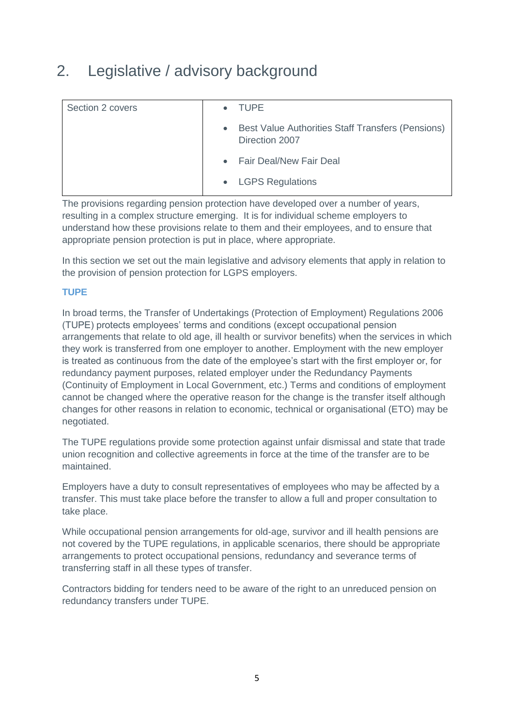# 2. Legislative / advisory background

| Section 2 covers | <b>TUPE</b><br>$\bullet$                                              |
|------------------|-----------------------------------------------------------------------|
|                  | • Best Value Authorities Staff Transfers (Pensions)<br>Direction 2007 |
|                  | • Fair Deal/New Fair Deal                                             |
|                  | • LGPS Regulations                                                    |
|                  |                                                                       |

 The provisions regarding pension protection have developed over a number of years, resulting in a complex structure emerging. It is for individual scheme employers to understand how these provisions relate to them and their employees, and to ensure that appropriate pension protection is put in place, where appropriate.

 In this section we set out the main legislative and advisory elements that apply in relation to the provision of pension protection for LGPS employers.

#### **TUPE**

 In broad terms, the Transfer of Undertakings (Protection of Employment) Regulations 2006 (TUPE) protects employees' terms and conditions (except occupational pension arrangements that relate to old age, ill health or survivor benefits) when the services in which they work is transferred from one employer to another. Employment with the new employer is treated as continuous from the date of the employee's start with the first employer or, for redundancy payment purposes, related employer under the Redundancy Payments (Continuity of Employment in Local Government, etc.) Terms and conditions of employment cannot be changed where the operative reason for the change is the transfer itself although changes for other reasons in relation to economic, technical or organisational (ETO) may be negotiated.

 The TUPE regulations provide some protection against unfair dismissal and state that trade union recognition and collective agreements in force at the time of the transfer are to be maintained.

 Employers have a duty to consult representatives of employees who may be affected by a transfer. This must take place before the transfer to allow a full and proper consultation to take place.

 While occupational pension arrangements for old-age, survivor and ill health pensions are not covered by the TUPE regulations, in applicable scenarios, there should be appropriate arrangements to protect occupational pensions, redundancy and severance terms of transferring staff in all these types of transfer.

 Contractors bidding for tenders need to be aware of the right to an unreduced pension on redundancy transfers under TUPE.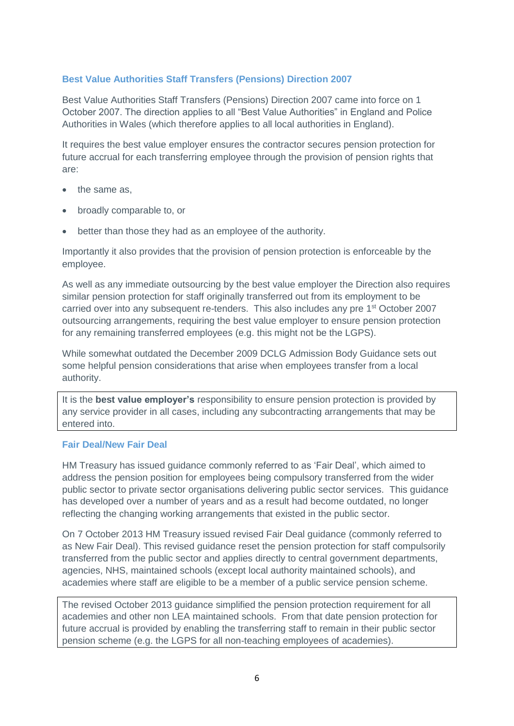#### **Best Value Authorities Staff Transfers (Pensions) Direction 2007**

 Best Value Authorities Staff Transfers (Pensions) Direction 2007 came into force on 1 October 2007. The direction applies to all "Best Value Authorities" in England and Police Authorities in Wales (which therefore applies to all local authorities in England).

 It requires the best value employer ensures the contractor secures pension protection for future accrual for each transferring employee through the provision of pension rights that are:

- the same as,
- broadly comparable to, or
- better than those they had as an employee of the authority.

 Importantly it also provides that the provision of pension protection is enforceable by the employee.

 As well as any immediate outsourcing by the best value employer the Direction also requires similar pension protection for staff originally transferred out from its employment to be carried over into any subsequent re-tenders. This also includes any pre 1<sup>st</sup> October 2007 outsourcing arrangements, requiring the best value employer to ensure pension protection for any remaining transferred employees (e.g. this might not be the LGPS).

 While somewhat outdated the December 2009 DCLG Admission Body Guidance sets out some helpful pension considerations that arise when employees transfer from a local authority.

 It is the **best value employer's** responsibility to ensure pension protection is provided by any service provider in all cases, including any subcontracting arrangements that may be entered into.

#### **Fair Deal/New Fair Deal**

 HM Treasury has issued guidance commonly referred to as 'Fair Deal', which aimed to address the pension position for employees being compulsory transferred from the wider public sector to private sector organisations delivering public sector services. This guidance has developed over a number of years and as a result had become outdated, no longer reflecting the changing working arrangements that existed in the public sector.

 On 7 October 2013 HM Treasury issued revised Fair Deal guidance (commonly referred to as New Fair Deal). This revised guidance reset the pension protection for staff compulsorily transferred from the public sector and applies directly to central government departments, agencies, NHS, maintained schools (except local authority maintained schools), and academies where staff are eligible to be a member of a public service pension scheme.

 The revised October 2013 guidance simplified the pension protection requirement for all academies and other non LEA maintained schools. From that date pension protection for future accrual is provided by enabling the transferring staff to remain in their public sector pension scheme (e.g. the LGPS for all non-teaching employees of academies).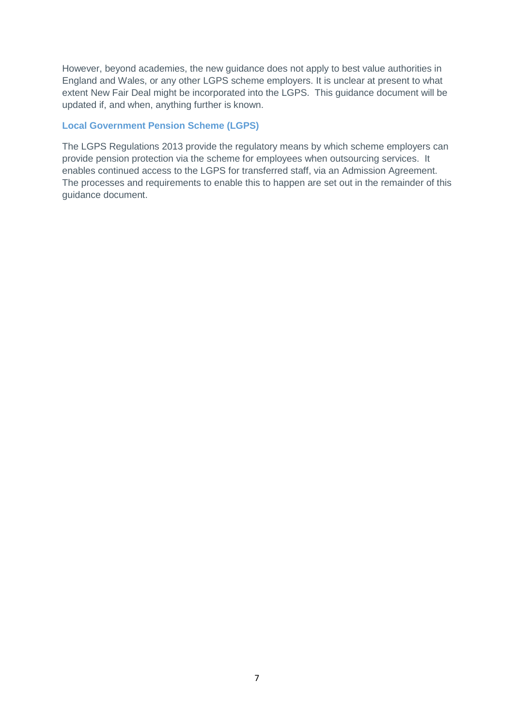However, beyond academies, the new guidance does not apply to best value authorities in England and Wales, or any other LGPS scheme employers. It is unclear at present to what extent New Fair Deal might be incorporated into the LGPS. This guidance document will be updated if, and when, anything further is known.

#### **Local Government Pension Scheme (LGPS)**

 The LGPS Regulations 2013 provide the regulatory means by which scheme employers can provide pension protection via the scheme for employees when outsourcing services. It enables continued access to the LGPS for transferred staff, via an Admission Agreement. The processes and requirements to enable this to happen are set out in the remainder of this guidance document.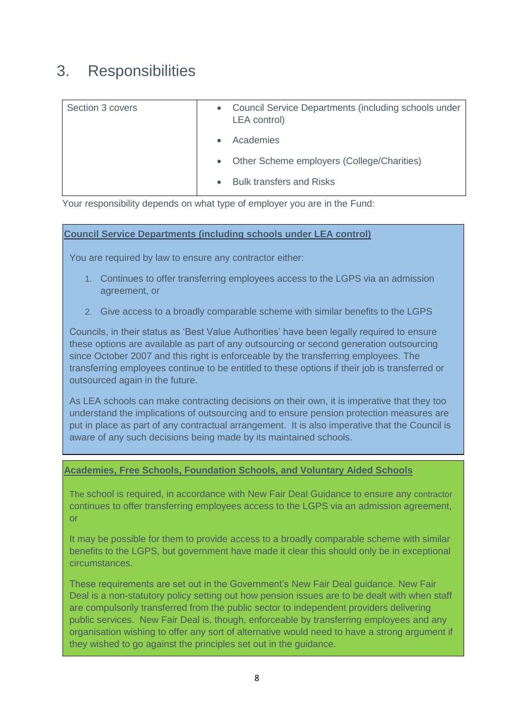# 3. Responsibilities

| Section 3 covers | Council Service Departments (including schools under<br>LEA control) |
|------------------|----------------------------------------------------------------------|
|                  | Academies                                                            |
|                  | • Other Scheme employers (College/Charities)                         |
|                  | <b>Bulk transfers and Risks</b>                                      |

Your responsibility depends on what type of employer you are in the Fund:

#### **Council Service Departments (including schools under LEA control)**

You are required by law to ensure any contractor either:

- 1. Continues to offer transferring employees access to the LGPS via an admission agreement, or
- 2. Give access to a broadly comparable scheme with similar benefits to the LGPS

 Councils, in their status as 'Best Value Authorities' have been legally required to ensure these options are available as part of any outsourcing or second generation outsourcing since October 2007 and this right is enforceable by the transferring employees. The transferring employees continue to be entitled to these options if their job is transferred or outsourced again in the future.

 As LEA schools can make contracting decisions on their own, it is imperative that they too understand the implications of outsourcing and to ensure pension protection measures are put in place as part of any contractual arrangement. It is also imperative that the Council is aware of any such decisions being made by its maintained schools.

#### **Academies, Free Schools, Foundation Schools, and Voluntary Aided Schools**

 The school is required, in accordance with New Fair Deal Guidance to ensure any contractor continues to offer transferring employees access to the LGPS via an admission agreement, or

 It may be possible for them to provide access to a broadly comparable scheme with similar benefits to the LGPS, but government have made it clear this should only be in exceptional circumstances.

 These requirements are set out in the Government's New Fair Deal guidance. New Fair Deal is a non-statutory policy setting out how pension issues are to be dealt with when staff are compulsorily transferred from the public sector to independent providers delivering public services. New Fair Deal is, though, enforceable by transferring employees and any organisation wishing to offer any sort of alternative would need to have a strong argument if they wished to go against the principles set out in the guidance.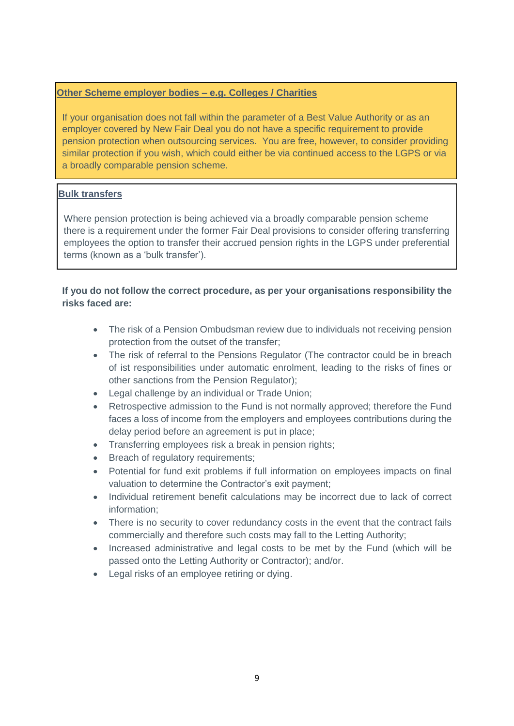#### **Other Scheme employer bodies – e.g. Colleges / Charities**

 If your organisation does not fall within the parameter of a Best Value Authority or as an employer covered by New Fair Deal you do not have a specific requirement to provide pension protection when outsourcing services. You are free, however, to consider providing similar protection if you wish, which could either be via continued access to the LGPS or via a broadly comparable pension scheme.

#### **Bulk transfers**

 Where pension protection is being achieved via a broadly comparable pension scheme there is a requirement under the former Fair Deal provisions to consider offering transferring employees the option to transfer their accrued pension rights in the LGPS under preferential terms (known as a 'bulk transfer').

#### **If you do not follow the correct procedure, as per your organisations responsibility the risks faced are:**

- The risk of a Pension Ombudsman review due to individuals not receiving pension protection from the outset of the transfer;
- The risk of referral to the Pensions Regulator (The contractor could be in breach of ist responsibilities under automatic enrolment, leading to the risks of fines or other sanctions from the Pension Regulator);
- Legal challenge by an individual or Trade Union;
- Retrospective admission to the Fund is not normally approved; therefore the Fund faces a loss of income from the employers and employees contributions during the delay period before an agreement is put in place;
- Transferring employees risk a break in pension rights;
- Breach of regulatory requirements;
- Potential for fund exit problems if full information on employees impacts on final valuation to determine the Contractor's exit payment;
- Individual retirement benefit calculations may be incorrect due to lack of correct information;
- There is no security to cover redundancy costs in the event that the contract fails commercially and therefore such costs may fall to the Letting Authority;
- Increased administrative and legal costs to be met by the Fund (which will be passed onto the Letting Authority or Contractor); and/or.
- Legal risks of an employee retiring or dying.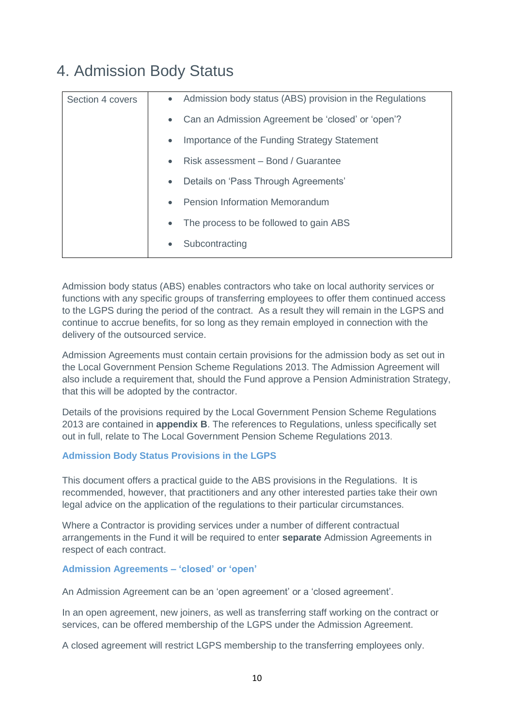# 4. Admission Body Status

| Section 4 covers |           | • Admission body status (ABS) provision in the Regulations |
|------------------|-----------|------------------------------------------------------------|
|                  | $\bullet$ | Can an Admission Agreement be 'closed' or 'open'?          |
|                  | $\bullet$ | Importance of the Funding Strategy Statement               |
|                  | $\bullet$ | Risk assessment - Bond / Guarantee                         |
|                  | $\bullet$ | Details on 'Pass Through Agreements'                       |
|                  | $\bullet$ | Pension Information Memorandum                             |
|                  |           | The process to be followed to gain ABS                     |
|                  |           | Subcontracting                                             |

 Admission body status (ABS) enables contractors who take on local authority services or functions with any specific groups of transferring employees to offer them continued access to the LGPS during the period of the contract. As a result they will remain in the LGPS and continue to accrue benefits, for so long as they remain employed in connection with the delivery of the outsourced service.

 Admission Agreements must contain certain provisions for the admission body as set out in the Local Government Pension Scheme Regulations 2013. The Admission Agreement will also include a requirement that, should the Fund approve a Pension Administration Strategy, that this will be adopted by the contractor.

 Details of the provisions required by the Local Government Pension Scheme Regulations 2013 are contained in **appendix B**. The references to Regulations, unless specifically set out in full, relate to The Local Government Pension Scheme Regulations 2013.

#### **Admission Body Status Provisions in the LGPS**

 This document offers a practical guide to the ABS provisions in the Regulations. It is recommended, however, that practitioners and any other interested parties take their own legal advice on the application of the regulations to their particular circumstances.

 Where a Contractor is providing services under a number of different contractual arrangements in the Fund it will be required to enter **separate** Admission Agreements in respect of each contract.

#### **Admission Agreements – 'closed' or 'open'**

An Admission Agreement can be an 'open agreement' or a 'closed agreement'.

 In an open agreement, new joiners, as well as transferring staff working on the contract or services, can be offered membership of the LGPS under the Admission Agreement.

A closed agreement will restrict LGPS membership to the transferring employees only.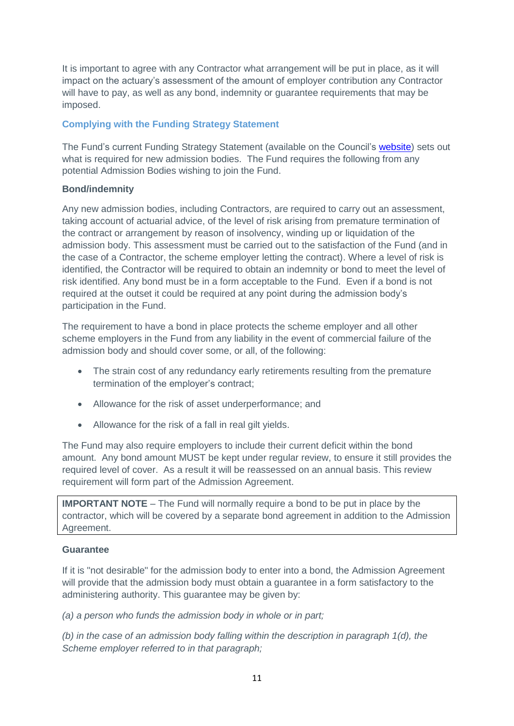It is important to agree with any Contractor what arrangement will be put in place, as it will impact on the actuary's assessment of the amount of employer contribution any Contractor will have to pay, as well as any bond, indemnity or guarantee requirements that may be imposed.

#### **Complying with the Funding Strategy Statement**

The Fund's current Funding Strategy Statement (available on the Council's **website**) sets out what is required for new admission bodies. The Fund requires the following from any potential Admission Bodies wishing to join the Fund.

#### **Bond/indemnity**

 Any new admission bodies, including Contractors, are required to carry out an assessment, taking account of actuarial advice, of the level of risk arising from premature termination of the contract or arrangement by reason of insolvency, winding up or liquidation of the admission body. This assessment must be carried out to the satisfaction of the Fund (and in the case of a Contractor, the scheme employer letting the contract). Where a level of risk is identified, the Contractor will be required to obtain an indemnity or bond to meet the level of risk identified. Any bond must be in a form acceptable to the Fund. Even if a bond is not required at the outset it could be required at any point during the admission body's participation in the Fund.

 The requirement to have a bond in place protects the scheme employer and all other scheme employers in the Fund from any liability in the event of commercial failure of the admission body and should cover some, or all, of the following:

- The strain cost of any redundancy early retirements resulting from the premature termination of the employer's contract;
- Allowance for the risk of asset underperformance; and
- Allowance for the risk of a fall in real gilt yields.

 The Fund may also require employers to include their current deficit within the bond amount. Any bond amount MUST be kept under regular review, to ensure it still provides the required level of cover. As a result it will be reassessed on an annual basis. This review requirement will form part of the Admission Agreement.

**IMPORTANT NOTE** – The Fund will normally require a bond to be put in place by the contractor, which will be covered by a separate bond agreement in addition to the Admission Agreement.

#### **Guarantee**

 If it is "not desirable" for the admission body to enter into a bond, the Admission Agreement will provide that the admission body must obtain a guarantee in a form satisfactory to the administering authority. This guarantee may be given by:

 *(a) a person who funds the admission body in whole or in part;* 

 *(b) in the case of an admission body falling within the description in paragraph 1(d), the Scheme employer referred to in that paragraph;*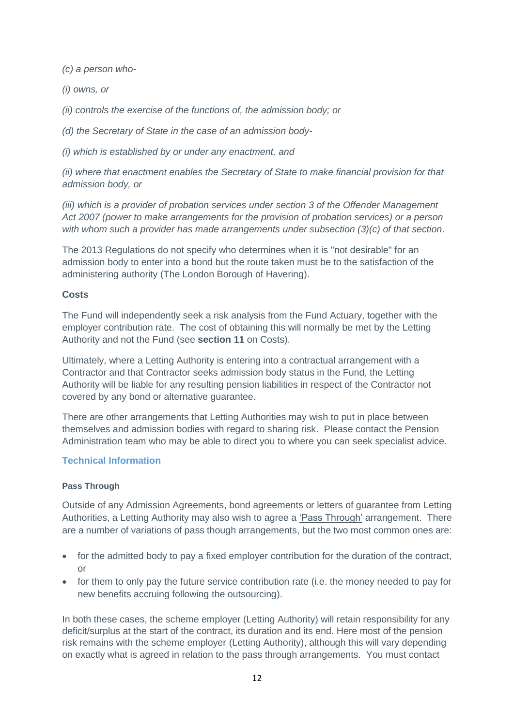*(c) a person who-*

 *(i) owns, or* 

 *(ii) controls the exercise of the functions of, the admission body; or* 

 *(d) the Secretary of State in the case of an admission body-*

 *(i) which is established by or under any enactment, and* 

(ii) where that enactment enables the Secretary of State to make financial provision for that  *admission body, or* 

 *(iii) which is a provider of probation services under section 3 of the Offender Management Act 2007 (power to make arrangements for the provision of probation services) or a person with whom such a provider has made arrangements under subsection (3)(c) of that section*.

 The 2013 Regulations do not specify who determines when it is "not desirable" for an admission body to enter into a bond but the route taken must be to the satisfaction of the administering authority (The London Borough of Havering).

#### **Costs**

 The Fund will independently seek a risk analysis from the Fund Actuary, together with the employer contribution rate. The cost of obtaining this will normally be met by the Letting Authority and not the Fund (see **section 11** on Costs).

 Ultimately, where a Letting Authority is entering into a contractual arrangement with a Contractor and that Contractor seeks admission body status in the Fund, the Letting Authority will be liable for any resulting pension liabilities in respect of the Contractor not covered by any bond or alternative guarantee.

 There are other arrangements that Letting Authorities may wish to put in place between themselves and admission bodies with regard to sharing risk. Please contact the Pension Administration team who may be able to direct you to where you can seek specialist advice.

#### **Technical Information**

#### **Pass Through**

 Outside of any Admission Agreements, bond agreements or letters of guarantee from Letting Authorities, a Letting Authority may also wish to agree a 'Pass Through' arrangement. There are a number of variations of pass though arrangements, but the two most common ones are:

- for the admitted body to pay a fixed employer contribution for the duration of the contract, or
- for them to only pay the future service contribution rate (i.e. the money needed to pay for new benefits accruing following the outsourcing).

 In both these cases, the scheme employer (Letting Authority) will retain responsibility for any deficit/surplus at the start of the contract, its duration and its end. Here most of the pension risk remains with the scheme employer (Letting Authority), although this will vary depending on exactly what is agreed in relation to the pass through arrangements. You must contact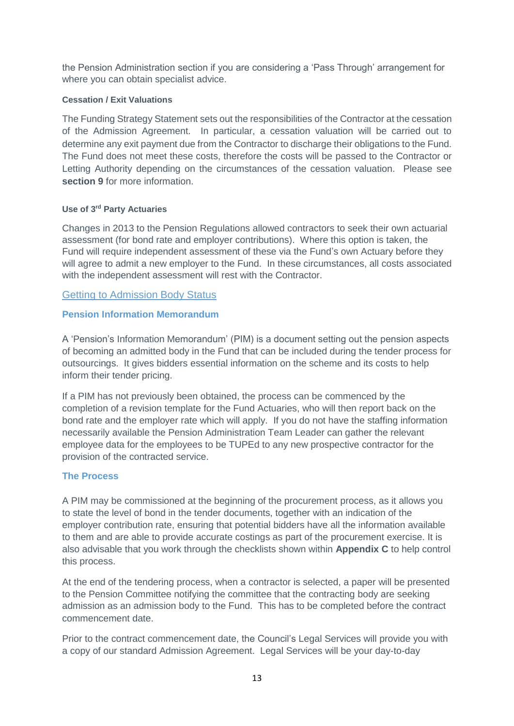the Pension Administration section if you are considering a 'Pass Through' arrangement for where you can obtain specialist advice.

#### **Cessation / Exit Valuations**

 The Funding Strategy Statement sets out the responsibilities of the Contractor at the cessation of the Admission Agreement. In particular, a cessation valuation will be carried out to determine any exit payment due from the Contractor to discharge their obligations to the Fund. The Fund does not meet these costs, therefore the costs will be passed to the Contractor or Letting Authority depending on the circumstances of the cessation valuation. Please see **section 9** for more information.

#### **Use of 3rd Party Actuaries**

 Changes in 2013 to the Pension Regulations allowed contractors to seek their own actuarial assessment (for bond rate and employer contributions). Where this option is taken, the Fund will require independent assessment of these via the Fund's own Actuary before they will agree to admit a new employer to the Fund. In these circumstances, all costs associated with the independent assessment will rest with the Contractor.

#### Getting to Admission Body Status

#### **Pension Information Memorandum**

 A 'Pension's Information Memorandum' (PIM) is a document setting out the pension aspects of becoming an admitted body in the Fund that can be included during the tender process for outsourcings. It gives bidders essential information on the scheme and its costs to help inform their tender pricing.

 If a PIM has not previously been obtained, the process can be commenced by the completion of a revision template for the Fund Actuaries, who will then report back on the bond rate and the employer rate which will apply. If you do not have the staffing information necessarily available the Pension Administration Team Leader can gather the relevant employee data for the employees to be TUPEd to any new prospective contractor for the provision of the contracted service.

#### **The Process**

 A PIM may be commissioned at the beginning of the procurement process, as it allows you to state the level of bond in the tender documents, together with an indication of the employer contribution rate, ensuring that potential bidders have all the information available to them and are able to provide accurate costings as part of the procurement exercise. It is also advisable that you work through the checklists shown within **Appendix C** to help control this process.

this process.<br>At the end of the tendering process, when a contractor is selected, a paper will be presented to the Pension Committee notifying the committee that the contracting body are seeking admission as an admission body to the Fund. This has to be completed before the contract commencement date.

 Prior to the contract commencement date, the Council's Legal Services will provide you with a copy of our standard Admission Agreement. Legal Services will be your day-to-day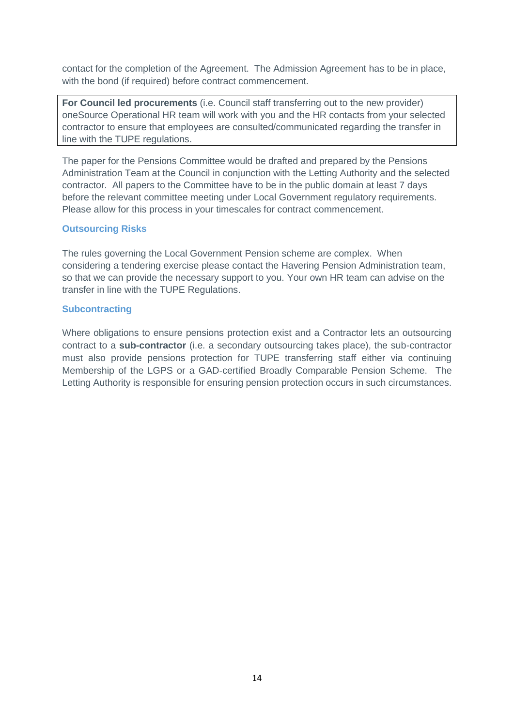contact for the completion of the Agreement. The Admission Agreement has to be in place, with the bond (if required) before contract commencement.

 **For Council led procurements** (i.e. Council staff transferring out to the new provider) oneSource Operational HR team will work with you and the HR contacts from your selected contractor to ensure that employees are consulted/communicated regarding the transfer in line with the TUPE regulations.

 The paper for the Pensions Committee would be drafted and prepared by the Pensions Administration Team at the Council in conjunction with the Letting Authority and the selected contractor. All papers to the Committee have to be in the public domain at least 7 days before the relevant committee meeting under Local Government regulatory requirements. Please allow for this process in your timescales for contract commencement.

#### **Outsourcing Risks**

 The rules governing the Local Government Pension scheme are complex. When considering a tendering exercise please contact the Havering Pension Administration team, so that we can provide the necessary support to you. Your own HR team can advise on the transfer in line with the TUPE Regulations.

#### **Subcontracting**

 Where obligations to ensure pensions protection exist and a Contractor lets an outsourcing contract to a **sub-contractor** (i.e. a secondary outsourcing takes place), the sub-contractor must also provide pensions protection for TUPE transferring staff either via continuing Membership of the LGPS or a GAD-certified Broadly Comparable Pension Scheme. The Letting Authority is responsible for ensuring pension protection occurs in such circumstances.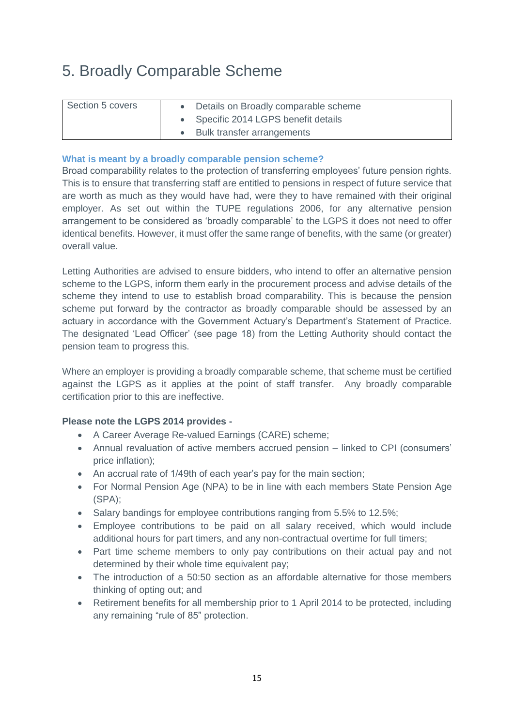# 5. Broadly Comparable Scheme

| Section 5 covers | Details on Broadly comparable scheme |
|------------------|--------------------------------------|
|                  | • Specific 2014 LGPS benefit details |
|                  | Bulk transfer arrangements           |

#### **What is meant by a broadly comparable pension scheme?**

 Broad comparability relates to the protection of transferring employees' future pension rights. This is to ensure that transferring staff are entitled to pensions in respect of future service that are worth as much as they would have had, were they to have remained with their original employer. As set out within the TUPE regulations 2006, for any alternative pension arrangement to be considered as 'broadly comparable' to the LGPS it does not need to offer identical benefits. However, it must offer the same range of benefits, with the same (or greater) overall value.

 Letting Authorities are advised to ensure bidders, who intend to offer an alternative pension scheme to the LGPS, inform them early in the procurement process and advise details of the scheme they intend to use to establish broad comparability. This is because the pension scheme put forward by the contractor as broadly comparable should be assessed by an actuary in accordance with the Government Actuary's Department's Statement of Practice. The designated 'Lead Officer' (see page 18) from the Letting Authority should contact the pension team to progress this.

 Where an employer is providing a broadly comparable scheme, that scheme must be certified against the LGPS as it applies at the point of staff transfer. Any broadly comparable certification prior to this are ineffective.

#### **Please note the LGPS 2014 provides -**

- A Career Average Re-valued Earnings (CARE) scheme;
- Annual revaluation of active members accrued pension linked to CPI (consumers' price inflation);
- An accrual rate of 1/49th of each year's pay for the main section;
- For Normal Pension Age (NPA) to be in line with each members State Pension Age (SPA);
- Salary bandings for employee contributions ranging from 5.5% to 12.5%;
- Employee contributions to be paid on all salary received, which would include additional hours for part timers, and any non-contractual overtime for full timers;
- determined by their whole time equivalent pay; Part time scheme members to only pay contributions on their actual pay and not
- The introduction of a 50:50 section as an affordable alternative for those members thinking of opting out; and
- Retirement benefits for all membership prior to 1 April 2014 to be protected, including any remaining "rule of 85" protection.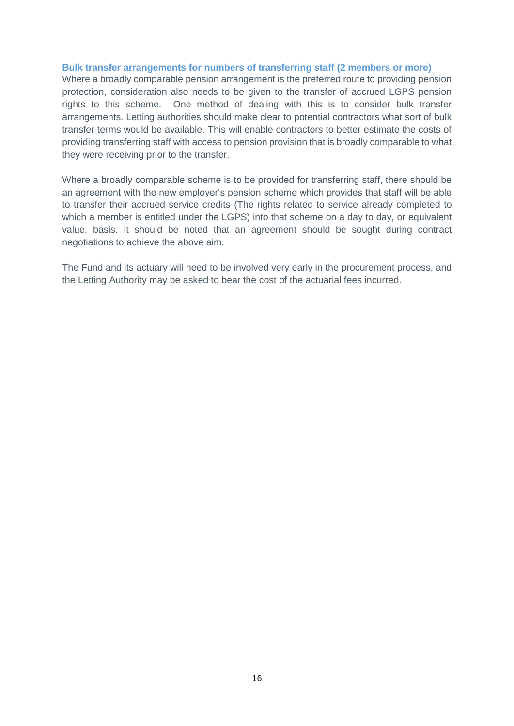#### **Bulk transfer arrangements for numbers of transferring staff (2 members or more)**

 Where a broadly comparable pension arrangement is the preferred route to providing pension protection, consideration also needs to be given to the transfer of accrued LGPS pension rights to this scheme. One method of dealing with this is to consider bulk transfer arrangements. Letting authorities should make clear to potential contractors what sort of bulk transfer terms would be available. This will enable contractors to better estimate the costs of providing transferring staff with access to pension provision that is broadly comparable to what they were receiving prior to the transfer.

 Where a broadly comparable scheme is to be provided for transferring staff, there should be an agreement with the new employer's pension scheme which provides that staff will be able to transfer their accrued service credits (The rights related to service already completed to which a member is entitled under the LGPS) into that scheme on a day to day, or equivalent value, basis. It should be noted that an agreement should be sought during contract negotiations to achieve the above aim.

 The Fund and its actuary will need to be involved very early in the procurement process, and the Letting Authority may be asked to bear the cost of the actuarial fees incurred.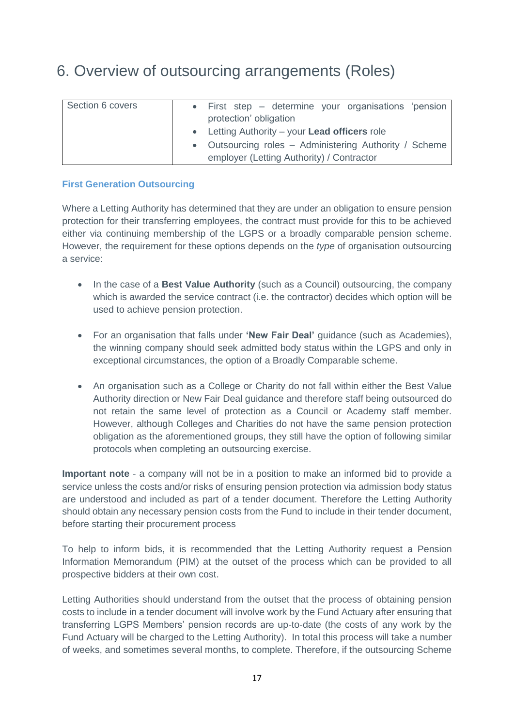# 6. Overview of outsourcing arrangements (Roles)

| Section 6 covers | • First step – determine your organisations 'pension   |  |  |  |
|------------------|--------------------------------------------------------|--|--|--|
|                  | protection' obligation                                 |  |  |  |
|                  | • Letting Authority – your Lead officers role          |  |  |  |
|                  | • Outsourcing roles – Administering Authority / Scheme |  |  |  |
|                  | employer (Letting Authority) / Contractor              |  |  |  |

#### **First Generation Outsourcing**

 Where a Letting Authority has determined that they are under an obligation to ensure pension protection for their transferring employees, the contract must provide for this to be achieved either via continuing membership of the LGPS or a broadly comparable pension scheme. However, the requirement for these options depends on the *type* of organisation outsourcing a service:

- In the case of a Best Value Authority (such as a Council) outsourcing, the company which is awarded the service contract (i.e. the contractor) decides which option will be used to achieve pension protection.
- For an organisation that falls under **'New Fair Deal'** guidance (such as Academies), the winning company should seek admitted body status within the LGPS and only in exceptional circumstances, the option of a Broadly Comparable scheme.
- An organisation such as a College or Charity do not fall within either the Best Value Authority direction or New Fair Deal guidance and therefore staff being outsourced do not retain the same level of protection as a Council or Academy staff member. However, although Colleges and Charities do not have the same pension protection obligation as the aforementioned groups, they still have the option of following similar protocols when completing an outsourcing exercise.

 **Important note** - a company will not be in a position to make an informed bid to provide a service unless the costs and/or risks of ensuring pension protection via admission body status are understood and included as part of a tender document. Therefore the Letting Authority should obtain any necessary pension costs from the Fund to include in their tender document, before starting their procurement process

 To help to inform bids, it is recommended that the Letting Authority request a Pension Information Memorandum (PIM) at the outset of the process which can be provided to all prospective bidders at their own cost.

 Letting Authorities should understand from the outset that the process of obtaining pension costs to include in a tender document will involve work by the Fund Actuary after ensuring that transferring LGPS Members' pension records are up-to-date (the costs of any work by the Fund Actuary will be charged to the Letting Authority). In total this process will take a number of weeks, and sometimes several months, to complete. Therefore, if the outsourcing Scheme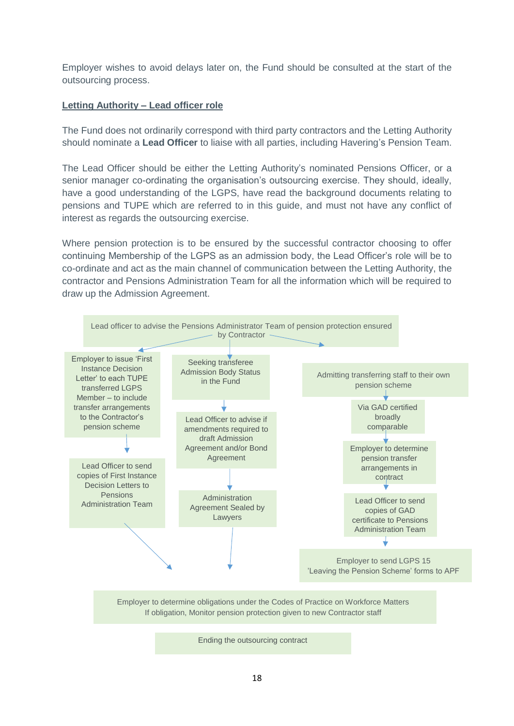Employer wishes to avoid delays later on, the Fund should be consulted at the start of the outsourcing process.

#### **Letting Authority – Lead officer role**

 The Fund does not ordinarily correspond with third party contractors and the Letting Authority should nominate a **Lead Officer** to liaise with all parties, including Havering's Pension Team.

 The Lead Officer should be either the Letting Authority's nominated Pensions Officer, or a senior manager co-ordinating the organisation's outsourcing exercise. They should, ideally, have a good understanding of the LGPS, have read the background documents relating to pensions and TUPE which are referred to in this guide, and must not have any conflict of interest as regards the outsourcing exercise.

 Where pension protection is to be ensured by the successful contractor choosing to offer continuing Membership of the LGPS as an admission body, the Lead Officer's role will be to co-ordinate and act as the main channel of communication between the Letting Authority, the contractor and Pensions Administration Team for all the information which will be required to draw up the Admission Agreement.

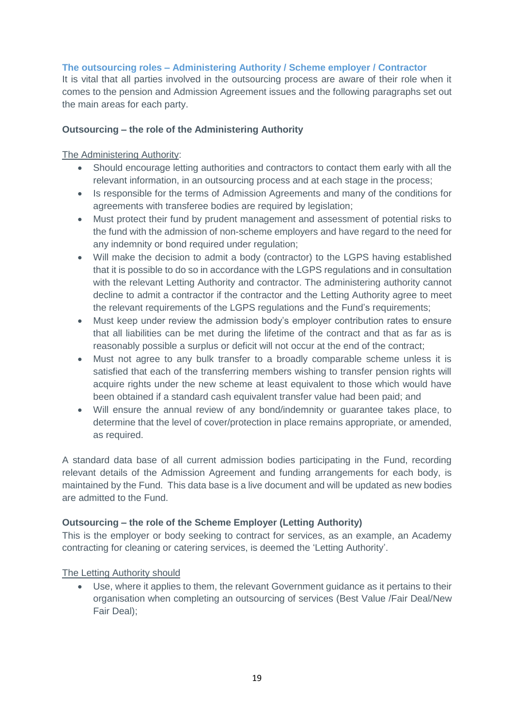#### **The outsourcing roles – Administering Authority / Scheme employer / Contractor**

 It is vital that all parties involved in the outsourcing process are aware of their role when it comes to the pension and Admission Agreement issues and the following paragraphs set out the main areas for each party.

#### **Outsourcing – the role of the Administering Authority**

#### The Administering Authority:

- Should encourage letting authorities and contractors to contact them early with all the relevant information, in an outsourcing process and at each stage in the process;
- Is responsible for the terms of Admission Agreements and many of the conditions for agreements with transferee bodies are required by legislation;
- Must protect their fund by prudent management and assessment of potential risks to the fund with the admission of non-scheme employers and have regard to the need for any indemnity or bond required under regulation;
- Will make the decision to admit a body (contractor) to the LGPS having established that it is possible to do so in accordance with the LGPS regulations and in consultation with the relevant Letting Authority and contractor. The administering authority cannot decline to admit a contractor if the contractor and the Letting Authority agree to meet the relevant requirements of the LGPS regulations and the Fund's requirements;
- Must keep under review the admission body's employer contribution rates to ensure that all liabilities can be met during the lifetime of the contract and that as far as is reasonably possible a surplus or deficit will not occur at the end of the contract;
- $\bullet$  satisfied that each of the transferring members wishing to transfer pension rights will acquire rights under the new scheme at least equivalent to those which would have been obtained if a standard cash equivalent transfer value had been paid; and Must not agree to any bulk transfer to a broadly comparable scheme unless it is
- Will ensure the annual review of any bond/indemnity or guarantee takes place, to determine that the level of cover/protection in place remains appropriate, or amended, as required.

 A standard data base of all current admission bodies participating in the Fund, recording relevant details of the Admission Agreement and funding arrangements for each body, is maintained by the Fund. This data base is a live document and will be updated as new bodies are admitted to the Fund.

#### **Outsourcing – the role of the Scheme Employer (Letting Authority)**

 This is the employer or body seeking to contract for services, as an example, an Academy contracting for cleaning or catering services, is deemed the 'Letting Authority'.

**The Letting Authority should** 

 Use, where it applies to them, the relevant Government guidance as it pertains to their organisation when completing an outsourcing of services (Best Value /Fair Deal/New Fair Deal);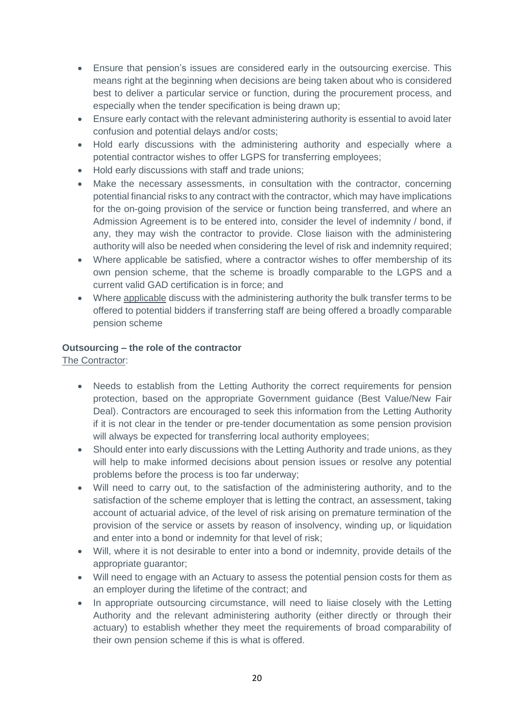- Ensure that pension's issues are considered early in the outsourcing exercise. This means right at the beginning when decisions are being taken about who is considered best to deliver a particular service or function, during the procurement process, and especially when the tender specification is being drawn up;
- Ensure early contact with the relevant administering authority is essential to avoid later confusion and potential delays and/or costs;
- Hold early discussions with the administering authority and especially where a potential contractor wishes to offer LGPS for transferring employees;
- Hold early discussions with staff and trade unions;
- Make the necessary assessments, in consultation with the contractor, concerning potential financial risks to any contract with the contractor, which may have implications for the on-going provision of the service or function being transferred, and where an Admission Agreement is to be entered into, consider the level of indemnity / bond, if any, they may wish the contractor to provide. Close liaison with the administering authority will also be needed when considering the level of risk and indemnity required;
- Where applicable be satisfied, where a contractor wishes to offer membership of its own pension scheme, that the scheme is broadly comparable to the LGPS and a current valid GAD certification is in force; and
- Where applicable discuss with the administering authority the bulk transfer terms to be offered to potential bidders if transferring staff are being offered a broadly comparable pension scheme

#### **Outsourcing – the role of the contractor**

The Contractor:

- Needs to establish from the Letting Authority the correct requirements for pension protection, based on the appropriate Government guidance (Best Value/New Fair Deal). Contractors are encouraged to seek this information from the Letting Authority if it is not clear in the tender or pre-tender documentation as some pension provision will always be expected for transferring local authority employees;
- Should enter into early discussions with the Letting Authority and trade unions, as they will help to make informed decisions about pension issues or resolve any potential problems before the process is too far underway;
- Will need to carry out, to the satisfaction of the administering authority, and to the satisfaction of the scheme employer that is letting the contract, an assessment, taking account of actuarial advice, of the level of risk arising on premature termination of the provision of the service or assets by reason of insolvency, winding up, or liquidation and enter into a bond or indemnity for that level of risk;
- Will, where it is not desirable to enter into a bond or indemnity, provide details of the appropriate guarantor;
- Will need to engage with an Actuary to assess the potential pension costs for them as an employer during the lifetime of the contract; and
- In appropriate outsourcing circumstance, will need to liaise closely with the Letting Authority and the relevant administering authority (either directly or through their actuary) to establish whether they meet the requirements of broad comparability of their own pension scheme if this is what is offered.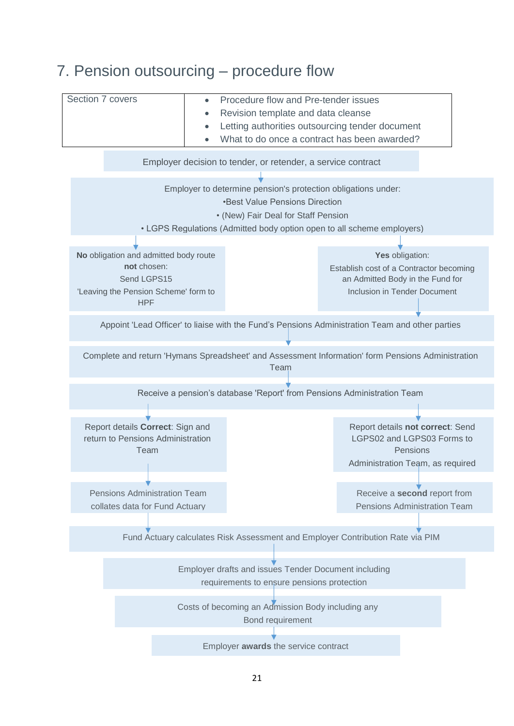# 7. Pension outsourcing – procedure flow

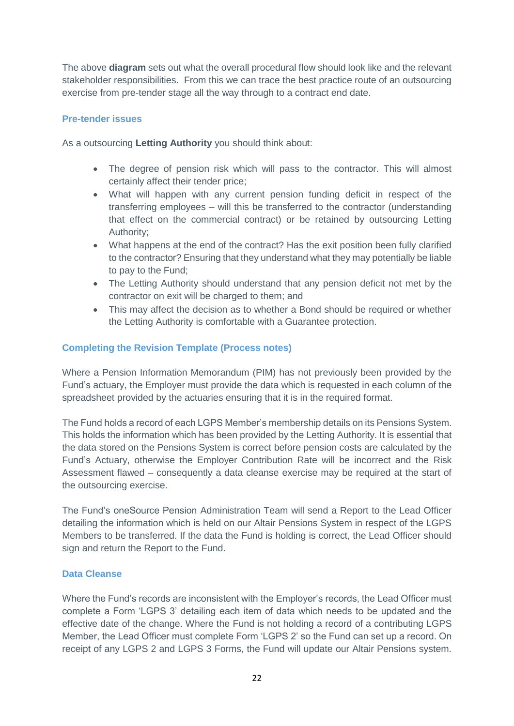The above **diagram** sets out what the overall procedural flow should look like and the relevant stakeholder responsibilities. From this we can trace the best practice route of an outsourcing exercise from pre-tender stage all the way through to a contract end date.

#### **Pre-tender issues**

As a outsourcing **Letting Authority** you should think about:

- The degree of pension risk which will pass to the contractor. This will almost certainly affect their tender price;
- What will happen with any current pension funding deficit in respect of the transferring employees – will this be transferred to the contractor (understanding that effect on the commercial contract) or be retained by outsourcing Letting Authority;
- What happens at the end of the contract? Has the exit position been fully clarified to the contractor? Ensuring that they understand what they may potentially be liable to pay to the Fund;
- The Letting Authority should understand that any pension deficit not met by the contractor on exit will be charged to them; and
- This may affect the decision as to whether a Bond should be required or whether the Letting Authority is comfortable with a Guarantee protection.

### **Completing the Revision Template (Process notes)**

 Where a Pension Information Memorandum (PIM) has not previously been provided by the Fund's actuary, the Employer must provide the data which is requested in each column of the spreadsheet provided by the actuaries ensuring that it is in the required format.

 The Fund holds a record of each LGPS Member's membership details on its Pensions System. This holds the information which has been provided by the Letting Authority. It is essential that the data stored on the Pensions System is correct before pension costs are calculated by the Fund's Actuary, otherwise the Employer Contribution Rate will be incorrect and the Risk Assessment flawed – consequently a data cleanse exercise may be required at the start of the outsourcing exercise.

 The Fund's oneSource Pension Administration Team will send a Report to the Lead Officer detailing the information which is held on our Altair Pensions System in respect of the LGPS Members to be transferred. If the data the Fund is holding is correct, the Lead Officer should sign and return the Report to the Fund.

#### **Data Cleanse**

 Where the Fund's records are inconsistent with the Employer's records, the Lead Officer must complete a Form 'LGPS 3' detailing each item of data which needs to be updated and the effective date of the change. Where the Fund is not holding a record of a contributing LGPS Member, the Lead Officer must complete Form 'LGPS 2' so the Fund can set up a record. On receipt of any LGPS 2 and LGPS 3 Forms, the Fund will update our Altair Pensions system.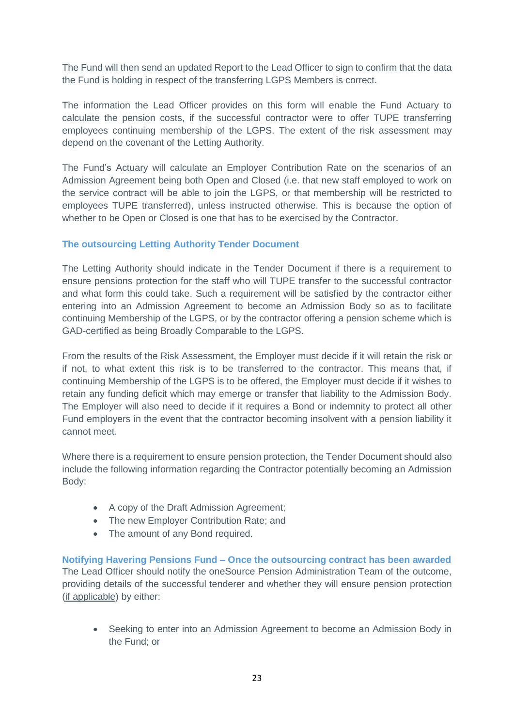The Fund will then send an updated Report to the Lead Officer to sign to confirm that the data the Fund is holding in respect of the transferring LGPS Members is correct.

 The information the Lead Officer provides on this form will enable the Fund Actuary to calculate the pension costs, if the successful contractor were to offer TUPE transferring employees continuing membership of the LGPS. The extent of the risk assessment may depend on the covenant of the Letting Authority.

 The Fund's Actuary will calculate an Employer Contribution Rate on the scenarios of an Admission Agreement being both Open and Closed (i.e. that new staff employed to work on the service contract will be able to join the LGPS, or that membership will be restricted to employees TUPE transferred), unless instructed otherwise. This is because the option of whether to be Open or Closed is one that has to be exercised by the Contractor.

#### **The outsourcing Letting Authority Tender Document**

 The Letting Authority should indicate in the Tender Document if there is a requirement to ensure pensions protection for the staff who will TUPE transfer to the successful contractor and what form this could take. Such a requirement will be satisfied by the contractor either entering into an Admission Agreement to become an Admission Body so as to facilitate continuing Membership of the LGPS, or by the contractor offering a pension scheme which is GAD-certified as being Broadly Comparable to the LGPS.

 From the results of the Risk Assessment, the Employer must decide if it will retain the risk or if not, to what extent this risk is to be transferred to the contractor. This means that, if continuing Membership of the LGPS is to be offered, the Employer must decide if it wishes to retain any funding deficit which may emerge or transfer that liability to the Admission Body. The Employer will also need to decide if it requires a Bond or indemnity to protect all other Fund employers in the event that the contractor becoming insolvent with a pension liability it cannot meet.

 Where there is a requirement to ensure pension protection, the Tender Document should also include the following information regarding the Contractor potentially becoming an Admission Body:

- A copy of the Draft Admission Agreement;
- The new Employer Contribution Rate; and
- The amount of any Bond required.

 **Notifying Havering Pensions Fund – Once the outsourcing contract has been awarded**  The Lead Officer should notify the oneSource Pension Administration Team of the outcome, providing details of the successful tenderer and whether they will ensure pension protection (if applicable) by either:

 Seeking to enter into an Admission Agreement to become an Admission Body in the Fund; or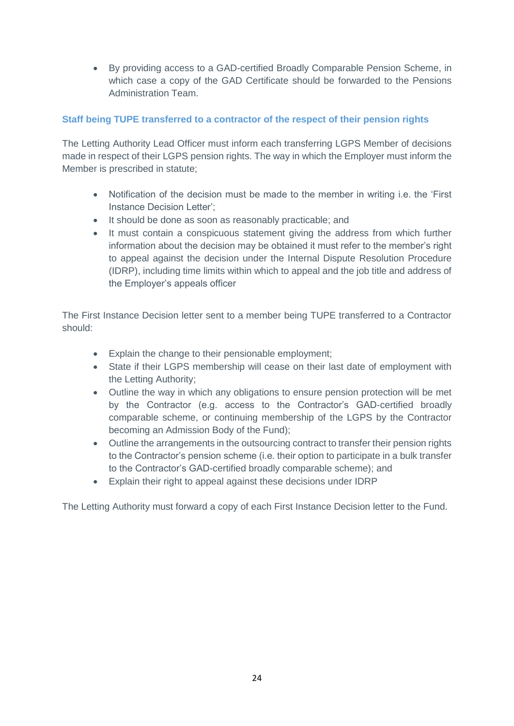By providing access to a GAD-certified Broadly Comparable Pension Scheme, in which case a copy of the GAD Certificate should be forwarded to the Pensions Administration Team.

#### **Staff being TUPE transferred to a contractor of the respect of their pension rights**

 The Letting Authority Lead Officer must inform each transferring LGPS Member of decisions made in respect of their LGPS pension rights. The way in which the Employer must inform the Member is prescribed in statute;

- Notification of the decision must be made to the member in writing i.e. the 'First Instance Decision Letter';
- It should be done as soon as reasonably practicable; and
- $\bullet$  information about the decision may be obtained it must refer to the member's right to appeal against the decision under the Internal Dispute Resolution Procedure (IDRP), including time limits within which to appeal and the job title and address of It must contain a conspicuous statement giving the address from which further the Employer's appeals officer

 The First Instance Decision letter sent to a member being TUPE transferred to a Contractor should:

- Explain the change to their pensionable employment;
- State if their LGPS membership will cease on their last date of employment with the Letting Authority;
- Outline the way in which any obligations to ensure pension protection will be met by the Contractor (e.g. access to the Contractor's GAD-certified broadly comparable scheme, or continuing membership of the LGPS by the Contractor becoming an Admission Body of the Fund);
- Outline the arrangements in the outsourcing contract to transfer their pension rights to the Contractor's pension scheme (i.e. their option to participate in a bulk transfer to the Contractor's GAD-certified broadly comparable scheme); and
- Explain their right to appeal against these decisions under IDRP

The Letting Authority must forward a copy of each First Instance Decision letter to the Fund.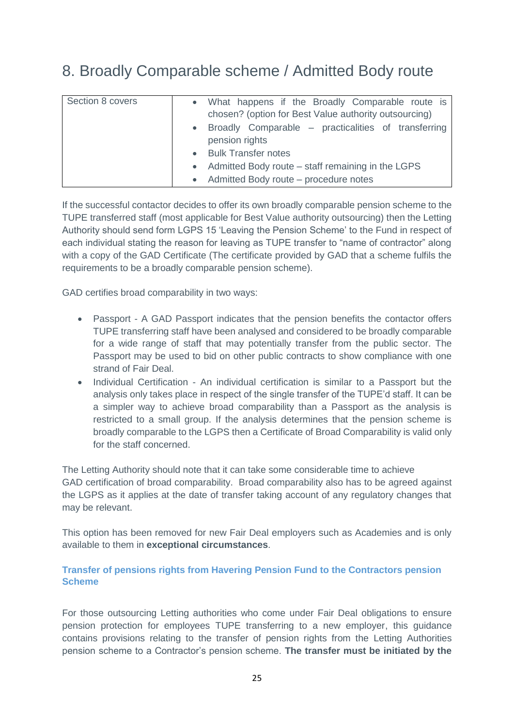# 8. Broadly Comparable scheme / Admitted Body route

| Section 8 covers | • What happens if the Broadly Comparable route is<br>chosen? (option for Best Value authority outsourcing) |
|------------------|------------------------------------------------------------------------------------------------------------|
|                  | • Broadly Comparable – practicalities of transferring<br>pension rights                                    |
|                  | • Bulk Transfer notes                                                                                      |
|                  | • Admitted Body route – staff remaining in the LGPS                                                        |
|                  | • Admitted Body route – procedure notes                                                                    |

 If the successful contactor decides to offer its own broadly comparable pension scheme to the TUPE transferred staff (most applicable for Best Value authority outsourcing) then the Letting Authority should send form LGPS 15 'Leaving the Pension Scheme' to the Fund in respect of each individual stating the reason for leaving as TUPE transfer to "name of contractor" along with a copy of the GAD Certificate (The certificate provided by GAD that a scheme fulfils the requirements to be a broadly comparable pension scheme).

GAD certifies broad comparability in two ways:

- Passport A GAD Passport indicates that the pension benefits the contactor offers TUPE transferring staff have been analysed and considered to be broadly comparable for a wide range of staff that may potentially transfer from the public sector. The Passport may be used to bid on other public contracts to show compliance with one strand of Fair Deal.
- Individual Certification An individual certification is similar to a Passport but the analysis only takes place in respect of the single transfer of the TUPE'd staff. It can be a simpler way to achieve broad comparability than a Passport as the analysis is restricted to a small group. If the analysis determines that the pension scheme is broadly comparable to the LGPS then a Certificate of Broad Comparability is valid only for the staff concerned.

 The Letting Authority should note that it can take some considerable time to achieve GAD certification of broad comparability. Broad comparability also has to be agreed against the LGPS as it applies at the date of transfer taking account of any regulatory changes that may be relevant.

 This option has been removed for new Fair Deal employers such as Academies and is only available to them in **exceptional circumstances**.

#### **Transfer of pensions rights from Havering Pension Fund to the Contractors pension Scheme**

 For those outsourcing Letting authorities who come under Fair Deal obligations to ensure pension protection for employees TUPE transferring to a new employer, this guidance contains provisions relating to the transfer of pension rights from the Letting Authorities pension scheme to a Contractor's pension scheme. **The transfer must be initiated by the**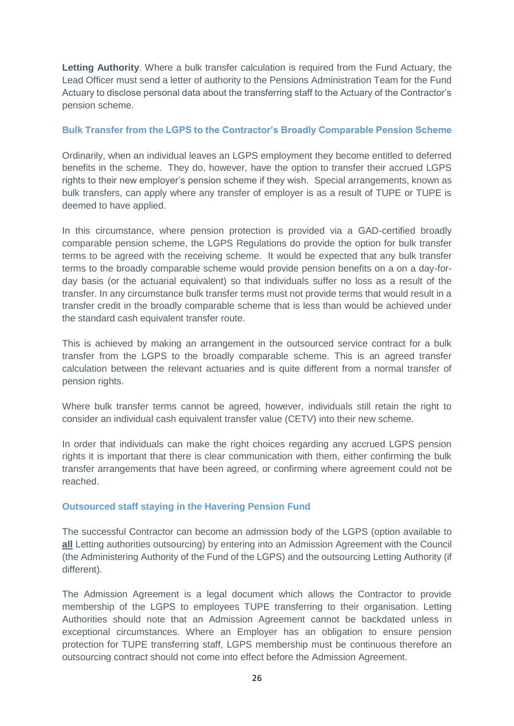**Letting Authority**. Where a bulk transfer calculation is required from the Fund Actuary, the Lead Officer must send a letter of authority to the Pensions Administration Team for the Fund Actuary to disclose personal data about the transferring staff to the Actuary of the Contractor's pension scheme.

#### **Bulk Transfer from the LGPS to the Contractor's Broadly Comparable Pension Scheme**

 Ordinarily, when an individual leaves an LGPS employment they become entitled to deferred benefits in the scheme. They do, however, have the option to transfer their accrued LGPS rights to their new employer's pension scheme if they wish. Special arrangements, known as bulk transfers, can apply where any transfer of employer is as a result of TUPE or TUPE is deemed to have applied.

deemed to have applied.<br>In this circumstance, where pension protection is provided via a GAD-certified broadly comparable pension scheme, the LGPS Regulations do provide the option for bulk transfer terms to be agreed with the receiving scheme. It would be expected that any bulk transfer terms to the broadly comparable scheme would provide pension benefits on a on a day-for- day basis (or the actuarial equivalent) so that individuals suffer no loss as a result of the transfer. In any circumstance bulk transfer terms must not provide terms that would result in a transfer credit in the broadly comparable scheme that is less than would be achieved under the standard cash equivalent transfer route.

 This is achieved by making an arrangement in the outsourced service contract for a bulk transfer from the LGPS to the broadly comparable scheme. This is an agreed transfer calculation between the relevant actuaries and is quite different from a normal transfer of pension rights.

 Where bulk transfer terms cannot be agreed, however, individuals still retain the right to consider an individual cash equivalent transfer value (CETV) into their new scheme.

 In order that individuals can make the right choices regarding any accrued LGPS pension rights it is important that there is clear communication with them, either confirming the bulk transfer arrangements that have been agreed, or confirming where agreement could not be reached.

#### **Outsourced staff staying in the Havering Pension Fund**

 The successful Contractor can become an admission body of the LGPS (option available to **all** Letting authorities outsourcing) by entering into an Admission Agreement with the Council (the Administering Authority of the Fund of the LGPS) and the outsourcing Letting Authority (if different).

 The Admission Agreement is a legal document which allows the Contractor to provide membership of the LGPS to employees TUPE transferring to their organisation. Letting Authorities should note that an Admission Agreement cannot be backdated unless in exceptional circumstances. Where an Employer has an obligation to ensure pension protection for TUPE transferring staff, LGPS membership must be continuous therefore an outsourcing contract should not come into effect before the Admission Agreement.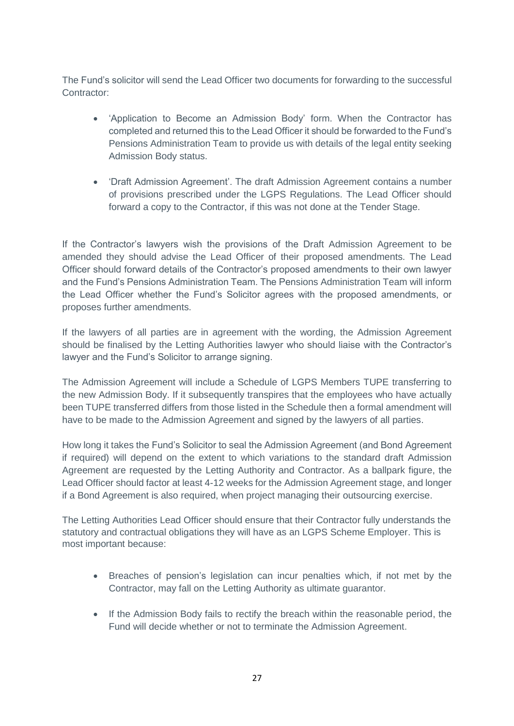The Fund's solicitor will send the Lead Officer two documents for forwarding to the successful Contractor:

- 'Application to Become an Admission Body' form. When the Contractor has completed and returned this to the Lead Officer it should be forwarded to the Fund's Pensions Administration Team to provide us with details of the legal entity seeking Admission Body status.
- 'Draft Admission Agreement'. The draft Admission Agreement contains a number of provisions prescribed under the LGPS Regulations. The Lead Officer should forward a copy to the Contractor, if this was not done at the Tender Stage.

 If the Contractor's lawyers wish the provisions of the Draft Admission Agreement to be amended they should advise the Lead Officer of their proposed amendments. The Lead Officer should forward details of the Contractor's proposed amendments to their own lawyer and the Fund's Pensions Administration Team. The Pensions Administration Team will inform the Lead Officer whether the Fund's Solicitor agrees with the proposed amendments, or proposes further amendments.

 If the lawyers of all parties are in agreement with the wording, the Admission Agreement should be finalised by the Letting Authorities lawyer who should liaise with the Contractor's lawyer and the Fund's Solicitor to arrange signing.

 The Admission Agreement will include a Schedule of LGPS Members TUPE transferring to the new Admission Body. If it subsequently transpires that the employees who have actually been TUPE transferred differs from those listed in the Schedule then a formal amendment will have to be made to the Admission Agreement and signed by the lawyers of all parties.

 How long it takes the Fund's Solicitor to seal the Admission Agreement (and Bond Agreement if required) will depend on the extent to which variations to the standard draft Admission Agreement are requested by the Letting Authority and Contractor. As a ballpark figure, the Lead Officer should factor at least 4-12 weeks for the Admission Agreement stage, and longer if a Bond Agreement is also required, when project managing their outsourcing exercise.

 The Letting Authorities Lead Officer should ensure that their Contractor fully understands the statutory and contractual obligations they will have as an LGPS Scheme Employer. This is most important because:

- Breaches of pension's legislation can incur penalties which, if not met by the Contractor, may fall on the Letting Authority as ultimate guarantor.
- If the Admission Body fails to rectify the breach within the reasonable period, the Fund will decide whether or not to terminate the Admission Agreement.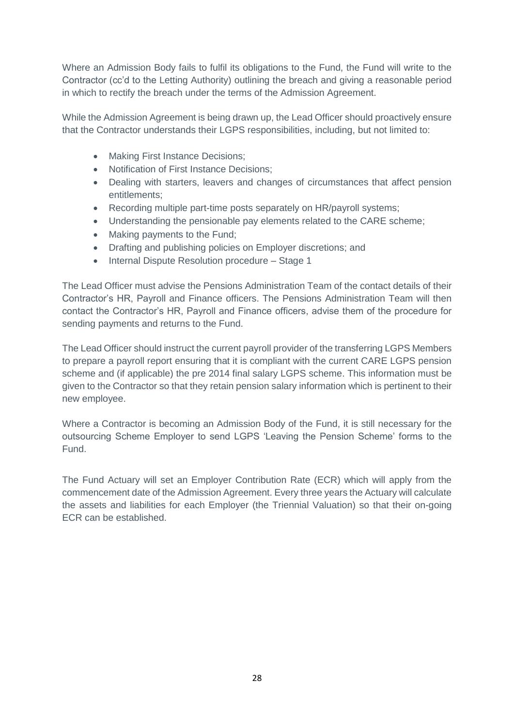Where an Admission Body fails to fulfil its obligations to the Fund, the Fund will write to the Contractor (cc'd to the Letting Authority) outlining the breach and giving a reasonable period in which to rectify the breach under the terms of the Admission Agreement.

 While the Admission Agreement is being drawn up, the Lead Officer should proactively ensure that the Contractor understands their LGPS responsibilities, including, but not limited to:

- Making First Instance Decisions;
- Notification of First Instance Decisions;
- $\bullet$  Dealing with starters, leavers and changes of circumstances that affect pension entitlements;
- Recording multiple part-time posts separately on HR/payroll systems;
- Understanding the pensionable pay elements related to the CARE scheme;
- $\bullet$ Making payments to the Fund;
- Drafting and publishing policies on Employer discretions; and
- Internal Dispute Resolution procedure Stage 1

 The Lead Officer must advise the Pensions Administration Team of the contact details of their Contractor's HR, Payroll and Finance officers. The Pensions Administration Team will then contact the Contractor's HR, Payroll and Finance officers, advise them of the procedure for sending payments and returns to the Fund.

 The Lead Officer should instruct the current payroll provider of the transferring LGPS Members to prepare a payroll report ensuring that it is compliant with the current CARE LGPS pension scheme and (if applicable) the pre 2014 final salary LGPS scheme. This information must be given to the Contractor so that they retain pension salary information which is pertinent to their new employee.

 Where a Contractor is becoming an Admission Body of the Fund, it is still necessary for the outsourcing Scheme Employer to send LGPS 'Leaving the Pension Scheme' forms to the Fund.

 The Fund Actuary will set an Employer Contribution Rate (ECR) which will apply from the commencement date of the Admission Agreement. Every three years the Actuary will calculate the assets and liabilities for each Employer (the Triennial Valuation) so that their on-going ECR can be established.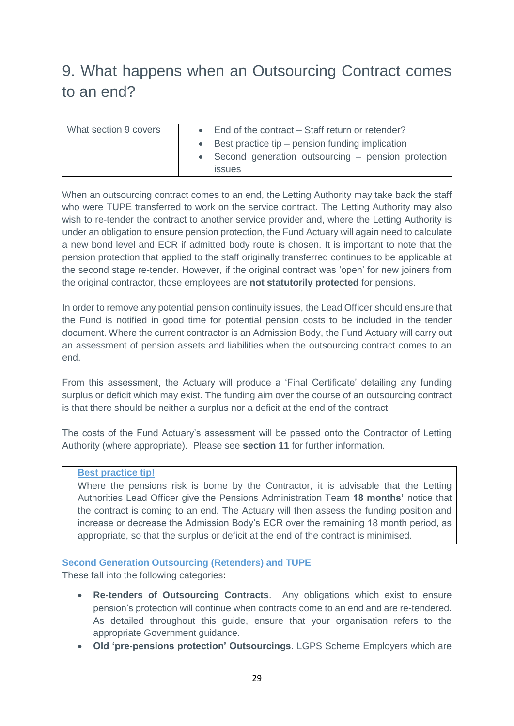# 9. What happens when an Outsourcing Contract comes to an end?

| What section 9 covers | • End of the contract – Staff return or retender?    |
|-----------------------|------------------------------------------------------|
|                       | Best practice tip – pension funding implication      |
|                       | • Second generation outsourcing – pension protection |
|                       | <i>issues</i>                                        |

 When an outsourcing contract comes to an end, the Letting Authority may take back the staff who were TUPE transferred to work on the service contract. The Letting Authority may also wish to re-tender the contract to another service provider and, where the Letting Authority is under an obligation to ensure pension protection, the Fund Actuary will again need to calculate a new bond level and ECR if admitted body route is chosen. It is important to note that the pension protection that applied to the staff originally transferred continues to be applicable at the second stage re-tender. However, if the original contract was 'open' for new joiners from the original contractor, those employees are **not statutorily protected** for pensions.

 In order to remove any potential pension continuity issues, the Lead Officer should ensure that the Fund is notified in good time for potential pension costs to be included in the tender document. Where the current contractor is an Admission Body, the Fund Actuary will carry out an assessment of pension assets and liabilities when the outsourcing contract comes to an end.

 From this assessment, the Actuary will produce a 'Final Certificate' detailing any funding surplus or deficit which may exist. The funding aim over the course of an outsourcing contract is that there should be neither a surplus nor a deficit at the end of the contract.

 The costs of the Fund Actuary's assessment will be passed onto the Contractor of Letting Authority (where appropriate). Please see **section 11** for further information.

#### **Best practice tip!**

 Where the pensions risk is borne by the Contractor, it is advisable that the Letting Authorities Lead Officer give the Pensions Administration Team **18 months'** notice that the contract is coming to an end. The Actuary will then assess the funding position and increase or decrease the Admission Body's ECR over the remaining 18 month period, as appropriate, so that the surplus or deficit at the end of the contract is minimised.

#### **Second Generation Outsourcing (Retenders) and TUPE**

These fall into the following categories:

- **Re-tenders of Outsourcing Contracts**. Any obligations which exist to ensure pension's protection will continue when contracts come to an end and are re-tendered. As detailed throughout this guide, ensure that your organisation refers to the appropriate Government guidance.
- **Old 'pre-pensions protection' Outsourcings**. LGPS Scheme Employers which are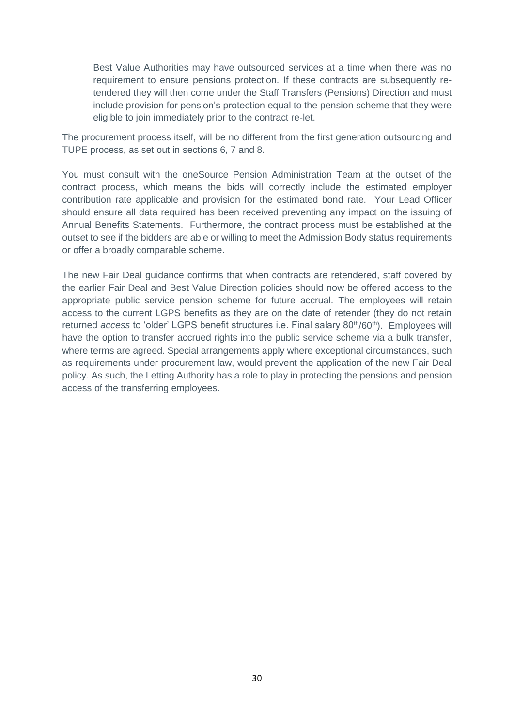Best Value Authorities may have outsourced services at a time when there was no requirement to ensure pensions protection. If these contracts are subsequently re- tendered they will then come under the Staff Transfers (Pensions) Direction and must include provision for pension's protection equal to the pension scheme that they were eligible to join immediately prior to the contract re-let.

 The procurement process itself, will be no different from the first generation outsourcing and TUPE process, as set out in sections 6, 7 and 8.

 You must consult with the oneSource Pension Administration Team at the outset of the contract process, which means the bids will correctly include the estimated employer contribution rate applicable and provision for the estimated bond rate. Your Lead Officer should ensure all data required has been received preventing any impact on the issuing of Annual Benefits Statements. Furthermore, the contract process must be established at the outset to see if the bidders are able or willing to meet the Admission Body status requirements or offer a broadly comparable scheme.

 The new Fair Deal guidance confirms that when contracts are retendered, staff covered by the earlier Fair Deal and Best Value Direction policies should now be offered access to the appropriate public service pension scheme for future accrual. The employees will retain access to the current LGPS benefits as they are on the date of retender (they do not retain returned *access* to 'older' LGPS benefit structures i.e. Final salary 80<sup>th</sup>/60<sup>th</sup>). Employees will have the option to transfer accrued rights into the public service scheme via a bulk transfer, where terms are agreed. Special arrangements apply where exceptional circumstances, such as requirements under procurement law, would prevent the application of the new Fair Deal policy. As such, the Letting Authority has a role to play in protecting the pensions and pension access of the transferring employees.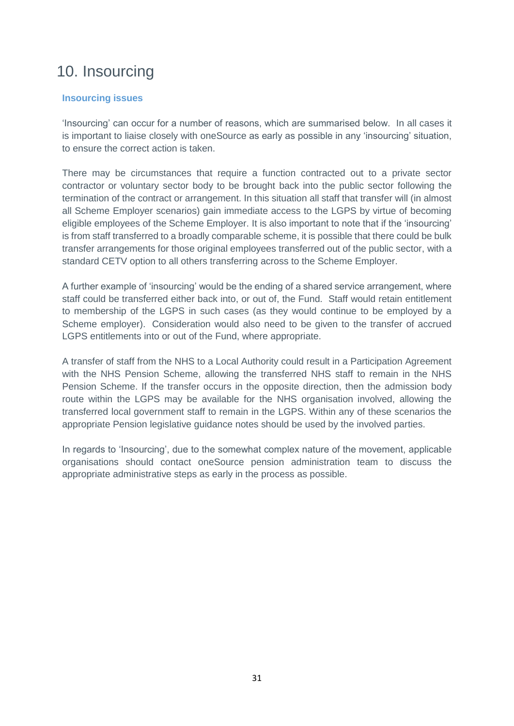# 10. Insourcing

#### **Insourcing issues**

 'Insourcing' can occur for a number of reasons, which are summarised below. In all cases it is important to liaise closely with oneSource as early as possible in any 'insourcing' situation, to ensure the correct action is taken.

 There may be circumstances that require a function contracted out to a private sector contractor or voluntary sector body to be brought back into the public sector following the termination of the contract or arrangement. In this situation all staff that transfer will (in almost all Scheme Employer scenarios) gain immediate access to the LGPS by virtue of becoming eligible employees of the Scheme Employer. It is also important to note that if the 'insourcing' is from staff transferred to a broadly comparable scheme, it is possible that there could be bulk transfer arrangements for those original employees transferred out of the public sector, with a standard CETV option to all others transferring across to the Scheme Employer.

 A further example of 'insourcing' would be the ending of a shared service arrangement, where staff could be transferred either back into, or out of, the Fund. Staff would retain entitlement to membership of the LGPS in such cases (as they would continue to be employed by a Scheme employer). Consideration would also need to be given to the transfer of accrued LGPS entitlements into or out of the Fund, where appropriate.

 A transfer of staff from the NHS to a Local Authority could result in a Participation Agreement with the NHS Pension Scheme, allowing the transferred NHS staff to remain in the NHS Pension Scheme. If the transfer occurs in the opposite direction, then the admission body route within the LGPS may be available for the NHS organisation involved, allowing the transferred local government staff to remain in the LGPS. Within any of these scenarios the appropriate Pension legislative guidance notes should be used by the involved parties.

 In regards to 'Insourcing', due to the somewhat complex nature of the movement, applicable organisations should contact oneSource pension administration team to discuss the appropriate administrative steps as early in the process as possible.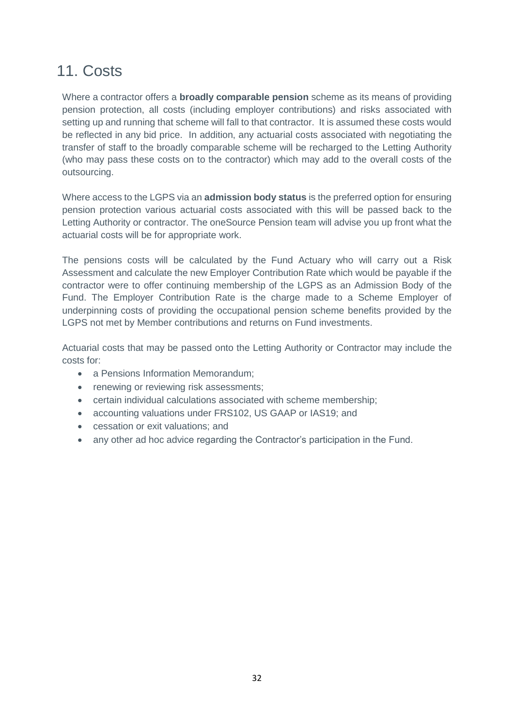### 11. Costs

 Where a contractor offers a **broadly comparable pension** scheme as its means of providing pension protection, all costs (including employer contributions) and risks associated with setting up and running that scheme will fall to that contractor. It is assumed these costs would be reflected in any bid price. In addition, any actuarial costs associated with negotiating the transfer of staff to the broadly comparable scheme will be recharged to the Letting Authority (who may pass these costs on to the contractor) which may add to the overall costs of the outsourcing.

 Where access to the LGPS via an **admission body status** is the preferred option for ensuring pension protection various actuarial costs associated with this will be passed back to the Letting Authority or contractor. The oneSource Pension team will advise you up front what the actuarial costs will be for appropriate work.

 The pensions costs will be calculated by the Fund Actuary who will carry out a Risk Assessment and calculate the new Employer Contribution Rate which would be payable if the contractor were to offer continuing membership of the LGPS as an Admission Body of the Fund. The Employer Contribution Rate is the charge made to a Scheme Employer of underpinning costs of providing the occupational pension scheme benefits provided by the LGPS not met by Member contributions and returns on Fund investments.

 Actuarial costs that may be passed onto the Letting Authority or Contractor may include the costs for:

- a Pensions Information Memorandum:
- renewing or reviewing risk assessments;
- certain individual calculations associated with scheme membership;
- accounting valuations under FRS102, US GAAP or IAS19; and
- cessation or exit valuations; and
- any other ad hoc advice regarding the Contractor's participation in the Fund.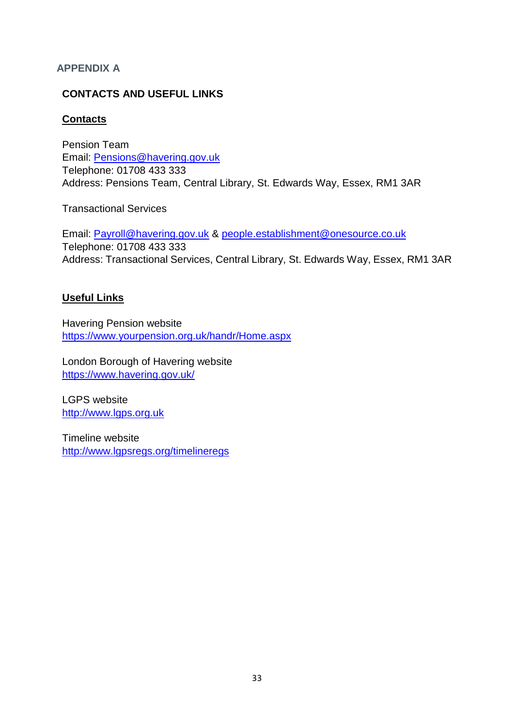### **APPENDIX A**

### **CONTACTS AND USEFUL LINKS**

### **Contacts**

 Pension Team Email: [Pensions@havering.gov.uk](mailto:Pensions@havering.gov.uk)  Telephone: 01708 433 333 Address: Pensions Team, Central Library, St. Edwards Way, Essex, RM1 3AR

Transactional Services

 Address: Transactional Services, Central Library, St. Edwards Way, Essex, RM1 3AR Email: [Payroll@havering.gov.uk](mailto:Payroll@havering.gov.uk) & [people.establishment@onesource.co.uk](mailto:people.establishment@onesource.co.uk)  Telephone: 01708 433 333

### **Useful Links**

Havering Pension website <https://www.yourpension.org.uk/handr/Home.aspx>

 London Borough of Havering website <https://www.havering.gov.uk/>

LGPS website [http://www.lgps.org.uk](http://www.lgps.org.uk/) 

Timeline website <http://www.lgpsregs.org/timelineregs>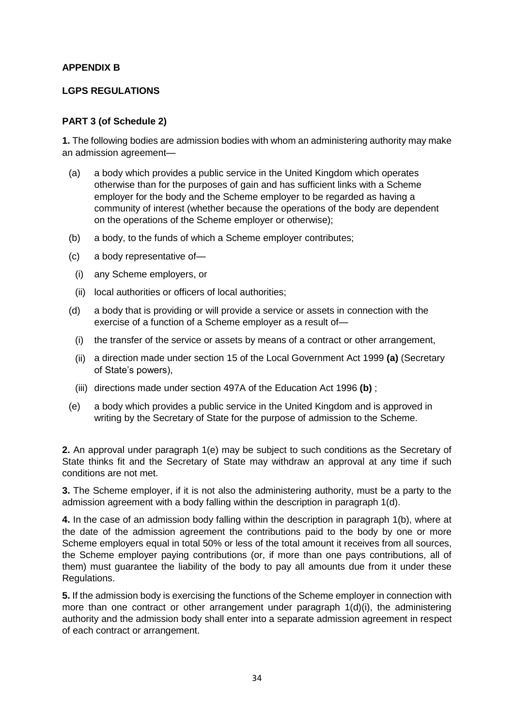#### **APPENDIX B**

#### **LGPS REGULATIONS**

#### **PART 3 (of Schedule 2)**

 **1.** The following bodies are admission bodies with whom an administering authority may make an admission agreement—

- (a) a body which provides a public service in the United Kingdom which operates otherwise than for the purposes of gain and has sufficient links with a Scheme employer for the body and the Scheme employer to be regarded as having a community of interest (whether because the operations of the body are dependent on the operations of the Scheme employer or otherwise);
- (b) a body, to the funds of which a Scheme employer contributes;
- (c) a body representative of—
	- (i) any Scheme employers, or
	- (ii) local authorities or officers of local authorities;
- (d) a body that is providing or will provide a service or assets in connection with the exercise of a function of a Scheme employer as a result of—
- (i) the transfer of the service or assets by means of a contract or other arrangement,
- (ii) a direction made under section 15 of the Local Government Act 1999 **[\(a\)](http://www.lgpsregs.org/index.php/schedule-2#fn20)** (Secretary of State's powers),
- (iii) directions made under section 497A of the Education Act 1996 **[\(b\)](http://www.lgpsregs.org/index.php/schedule-2#fn21)** ;
- (e) a body which provides a public service in the United Kingdom and is approved in writing by the Secretary of State for the purpose of admission to the Scheme.

 **2.** An approval under paragraph 1(e) may be subject to such conditions as the Secretary of State thinks fit and the Secretary of State may withdraw an approval at any time if such conditions are not met.

 **3.** The Scheme employer, if it is not also the administering authority, must be a party to the admission agreement with a body falling within the description in paragraph 1(d).

 **4.** In the case of an admission body falling within the description in paragraph 1(b), where at the date of the admission agreement the contributions paid to the body by one or more Scheme employers equal in total 50% or less of the total amount it receives from all sources, the Scheme employer paying contributions (or, if more than one pays contributions, all of them) must guarantee the liability of the body to pay all amounts due from it under these Regulations.

 **5.** If the admission body is exercising the functions of the Scheme employer in connection with more than one contract or other arrangement under paragraph 1(d)(i), the administering authority and the admission body shall enter into a separate admission agreement in respect of each contract or arrangement.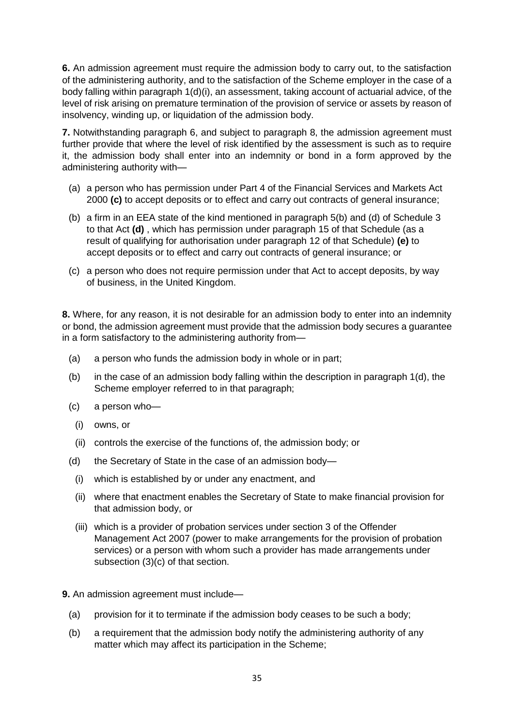**6.** An admission agreement must require the admission body to carry out, to the satisfaction of the administering authority, and to the satisfaction of the Scheme employer in the case of a body falling within paragraph 1(d)(i), an assessment, taking account of actuarial advice, of the level of risk arising on premature termination of the provision of service or assets by reason of insolvency, winding up, or liquidation of the admission body.

 **7.** Notwithstanding paragraph 6, and subject to paragraph 8, the admission agreement must further provide that where the level of risk identified by the assessment is such as to require it, the admission body shall enter into an indemnity or bond in a form approved by the administering authority with—

- (a) a person who has permission under Part 4 of the Financial Services and Markets Act 2000 **[\(c\)](http://www.lgpsregs.org/index.php/schedule-2#fn22)** to accept deposits or to effect and carry out contracts of general insurance;
- (b) a firm in an EEA state of the kind mentioned in paragraph 5(b) and (d) of Schedule 3 to that Act **[\(d\)](http://www.lgpsregs.org/index.php/schedule-2#fn23)** , which has permission under paragraph 15 of that Schedule (as a result of qualifying for authorisation under paragraph 12 of that Schedule) **[\(e\)](http://www.lgpsregs.org/index.php/schedule-2#fn24)** to accept deposits or to effect and carry out contracts of general insurance; or
- (c) a person who does not require permission under that Act to accept deposits, by way of business, in the United Kingdom.

 **8.** Where, for any reason, it is not desirable for an admission body to enter into an indemnity or bond, the admission agreement must provide that the admission body secures a guarantee in a form satisfactory to the administering authority from—

- (a) a person who funds the admission body in whole or in part;
- (b) in the case of an admission body falling within the description in paragraph 1(d), the Scheme employer referred to in that paragraph;
- (c) a person who—
	- (i) owns, or
	- (ii) controls the exercise of the functions of, the admission body; or
- (d) the Secretary of State in the case of an admission body—
- (i) which is established by or under any enactment, and
- (ii) where that enactment enables the Secretary of State to make financial provision for that admission body, or
- (iii) which is a provider of probation services under section 3 of the Offender Management Act 2007 (power to make arrangements for the provision of probation services) or a person with whom such a provider has made arrangements under subsection (3)(c) of that section.

**9.** An admission agreement must include—

- (a) provision for it to terminate if the admission body ceases to be such a body;
- (b) a requirement that the admission body notify the administering authority of any matter which may affect its participation in the Scheme;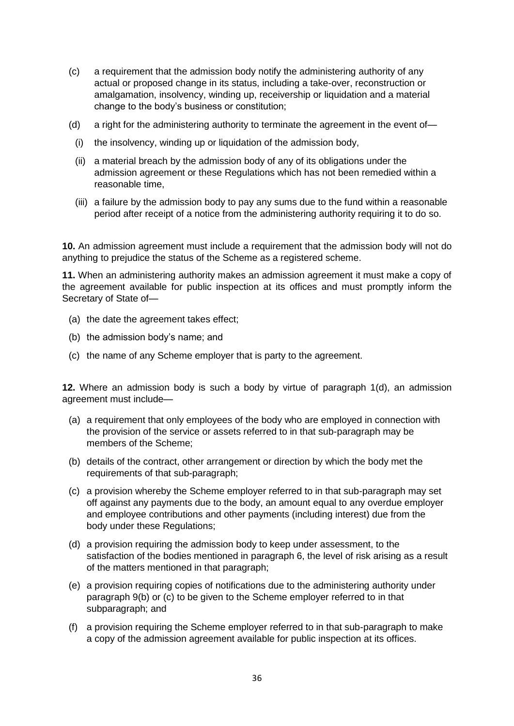- (c) a requirement that the admission body notify the administering authority of any actual or proposed change in its status, including a take-over, reconstruction or amalgamation, insolvency, winding up, receivership or liquidation and a material change to the body's business or constitution;
- (d) a right for the administering authority to terminate the agreement in the event of—
	- (i) the insolvency, winding up or liquidation of the admission body,
	- (ii) a material breach by the admission body of any of its obligations under the admission agreement or these Regulations which has not been remedied within a reasonable time,
	- (iii) a failure by the admission body to pay any sums due to the fund within a reasonable period after receipt of a notice from the administering authority requiring it to do so.

 **10.** An admission agreement must include a requirement that the admission body will not do anything to prejudice the status of the Scheme as a registered scheme.

 **11.** When an administering authority makes an admission agreement it must make a copy of the agreement available for public inspection at its offices and must promptly inform the Secretary of State of—

- (a) the date the agreement takes effect;
- (b) the admission body's name; and
- (c) the name of any Scheme employer that is party to the agreement.

 **12.** Where an admission body is such a body by virtue of paragraph 1(d), an admission agreement must include—

- (a) a requirement that only employees of the body who are employed in connection with the provision of the service or assets referred to in that sub-paragraph may be members of the Scheme;
- (b) details of the contract, other arrangement or direction by which the body met the requirements of that sub-paragraph;
- (c) a provision whereby the Scheme employer referred to in that sub-paragraph may set off against any payments due to the body, an amount equal to any overdue employer and employee contributions and other payments (including interest) due from the body under these Regulations;
- (d) a provision requiring the admission body to keep under assessment, to the satisfaction of the bodies mentioned in paragraph 6, the level of risk arising as a result of the matters mentioned in that paragraph;
- (e) a provision requiring copies of notifications due to the administering authority under paragraph 9(b) or (c) to be given to the Scheme employer referred to in that subparagraph; and
- (f) a provision requiring the Scheme employer referred to in that sub-paragraph to make a copy of the admission agreement available for public inspection at its offices.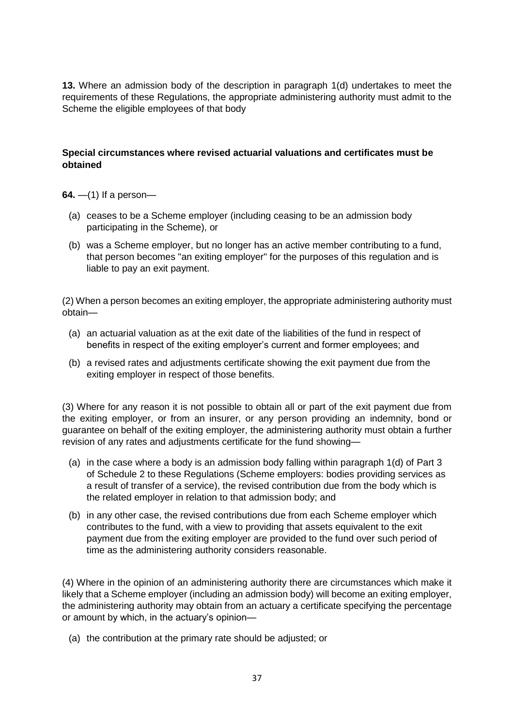**13.** Where an admission body of the description in paragraph 1(d) undertakes to meet the requirements of these Regulations, the appropriate administering authority must admit to the Scheme the eligible employees of that body

#### **Special circumstances where revised actuarial valuations and certificates must be obtained**

**64.** —(1) If a person—

- (a) ceases to be [a Scheme employer \(](http://www.lgpsregs.org/index.php/schedule-1#s1scem)including ceasing to be a[n admission body](http://www.lgpsregs.org/index.php/schedule-1#s1adbo)  participating in the Scheme), or
- (b) was a Scheme employer, but no longer has an [active member c](http://www.lgpsregs.org/index.php/schedule-1#s1acme)ontributing to a fund, that person becomes "an exiting employer" for the purposes of this regulation and is liable to pay an exit payment.

 (2) When a person becomes an exiting employer, the appropriat[e administering authority m](http://www.lgpsregs.org/index.php/schedule-1#s1adau)ust obtain—

- (a) an actuarial valuation as at the exit date of the liabilities of the fund in respect of benefits in respect of the exiting employer's current and former employees; and
- (b) a revised rates and adjustments certificate showing the exit payment due from the exiting employer in respect of those benefits.

 (3) Where for any reason it is not possible to obtain all or part of the exit payment due from the exiting employer, or from an insurer, or any person providing an indemnity, bond or guarantee on behalf of the exiting employer, th[e administering authority m](http://www.lgpsregs.org/index.php/schedule-1#s1adau)ust obtain a further revision of any rates and adjustments certificate for the fund showing—

- (a) in the case where a body is a[n admission body f](http://www.lgpsregs.org/index.php/schedule-1#s1adbo)alling within paragraph 1(d) of [Part 3](http://www.lgpsregs.org/index.php/schedule-2?showall=&start=2)  [of Schedule 2](http://www.lgpsregs.org/index.php/schedule-2?showall=&start=2) to these Regulations (Scheme employers: bodies providing services as a result of transfer of a service), the revised contribution due from the body which is the related employer in relation to that admission body; and
- (b) in any other case, the revised contributions due from eac[h Scheme employer w](http://www.lgpsregs.org/index.php/schedule-1#s1scem)hich contributes to the fund, with a view to providing that assets equivalent to the exit payment due from the exiting employer are provided to the fund over such period of time as the administering authority considers reasonable.

 (4) Where in the opinion of an administering authority there are circumstances which make it likely that a Scheme employer (including an admission body) will become an exiting employer, the administering authority may obtain from an actuary a certificate specifying the percentage or amount by which, in the actuary's opinion—

(a) the contribution at the primary rate should be adjusted; or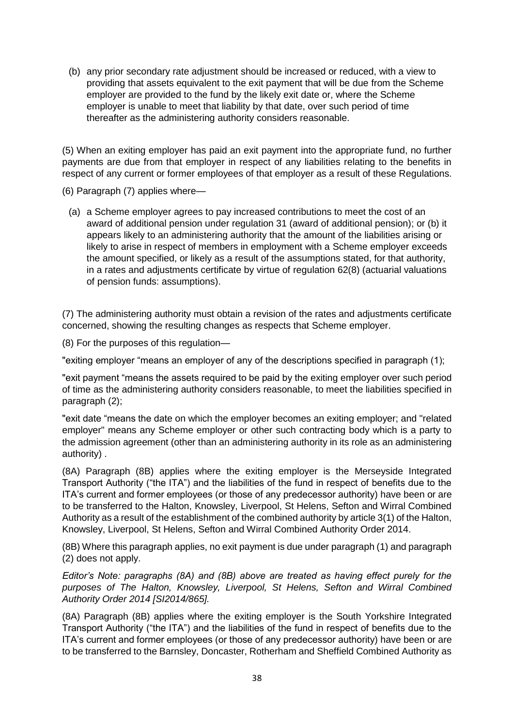(b) any prior secondary rate adjustment should be increased or reduced, with a view to providing that assets equivalent to the exit payment that will be due from the Scheme employer are provided to the fund by the likely exit date or, where the Scheme employer is unable to meet that liability by that date, over such period of time thereafter as the administering authority considers reasonable.

 (5) When an exiting employer has paid an exit payment into the appropriate fund, no further payments are due from that employer in respect of any liabilities relating to the benefits in respect of any current or former employees of that employer as a result of these Regulations.

(6) Paragraph (7) applies where—

 (a) [a Scheme employer a](http://www.lgpsregs.org/index.php/schedule-1#s1scem)grees to pay increased contributions to meet the cost of an award o[f additional pension u](http://www.lgpsregs.org/index.php/schedule-1#s1adpe)nder [regulation 31 \(award of additional pension\);](http://www.lgpsregs.org/index.php/benefits?showall=&start=1) or (b) it appears likely to a[n administering authority t](http://www.lgpsregs.org/index.php/schedule-1#s1adau)hat the amount of the liabilities arising or likely to arise in respect of members in employment with [a Scheme employer e](http://www.lgpsregs.org/index.php/schedule-1#s1scem)xceeds the amount specified, or likely as a result of the assumptions stated, for that authority, in a rates and adjustments certificate by virtue of [regulation 62\(8\) \(actuarial valuations](http://www.lgpsregs.org/index.php/valuations)  [of pension funds: assumptions\).](http://www.lgpsregs.org/index.php/valuations)

 (7) Th[e administering authority m](http://www.lgpsregs.org/index.php/schedule-1#s1adau)ust obtain a revision of the rates and adjustments certificate concerned, showing the resulting changes as respects that Scheme employer.

(8) For the purposes of this regulation—

"exiting employer "means an employer of any of the descriptions specified in paragraph (1);

 "exit payment "means the assets required to be paid by the exiting employer over such period of time as th[e administering authority c](http://www.lgpsregs.org/index.php/schedule-1#s1adau)onsiders reasonable, to meet the liabilities specified in paragraph (2);

 "exit date "means the date on which the employer becomes an exiting employer; and "related employer" means an[y Scheme employer o](http://www.lgpsregs.org/index.php/schedule-1#s1scem)r other such contracting body which is a party to th[e admission agreement \(](http://www.lgpsregs.org/index.php/schedule-1#s1adag)other than a[n administering authority i](http://www.lgpsregs.org/index.php/schedule-1#s1adau)n its role as an administering authority) .

 (8A) Paragraph (8B) applies where the exiting employer is the Merseyside Integrated Transport Authority ("the ITA") and the liabilities of the fund in respect of benefits due to the ITA's current and former employees (or those of any predecessor authority) have been or are to be transferred to the Halton, Knowsley, Liverpool, St Helens, Sefton and Wirral Combined Authority as a result of the establishment of the combined authority by article 3(1) of the Halton, Knowsley, Liverpool, St Helens, Sefton and Wirral Combined Authority Order 2014.

 (8B) Where this paragraph applies, no exit payment is due under paragraph (1) and paragraph (2) does not apply.

 *Editor's Note: paragraphs (8A) and (8B) above are treated as having effect purely for the*  purposes of The Halton, Knowsley, Liverpool, St Helens, Sefton and Wirral Combined  *Authority Order 2014 [\[SI2014/865\]](http://www.lgpsregs.org/images/SI/SI2014-865).* 

 (8A) Paragraph (8B) applies where the exiting employer is the South Yorkshire Integrated Transport Authority ("the ITA") and the liabilities of the fund in respect of benefits due to the ITA's current and former employees (or those of any predecessor authority) have been or are to be transferred to the Barnsley, Doncaster, Rotherham and Sheffield Combined Authority as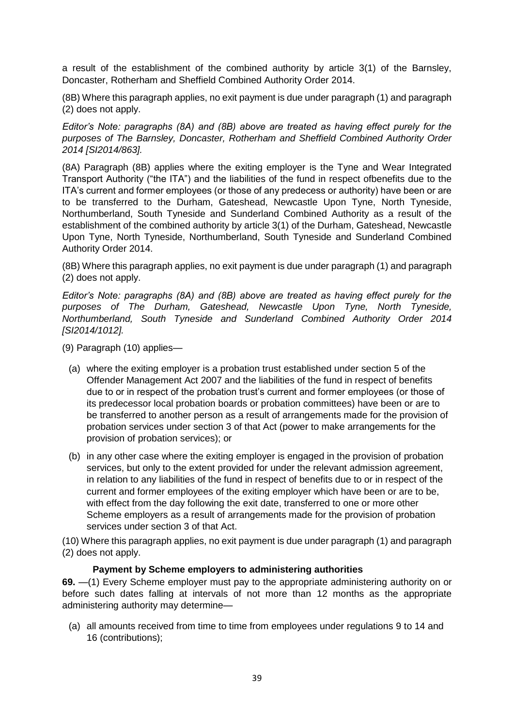a result of the establishment of the combined authority by article 3(1) of the Barnsley, Doncaster, Rotherham and Sheffield Combined Authority Order 2014.

 (8B) Where this paragraph applies, no exit payment is due under paragraph (1) and paragraph (2) does not apply.

 *Editor's Note: paragraphs (8A) and (8B) above are treated as having effect purely for the purposes of The Barnsley, Doncaster, Rotherham and Sheffield Combined Authority Order 2014 [\[SI2014/863\]](http://www.lgpsregs.org/images/SI/SI2014-863).* 

 (8A) Paragraph (8B) applies where the exiting employer is the Tyne and Wear Integrated Transport Authority ("the ITA") and the liabilities of the fund in respect ofbenefits due to the ITA's current and former employees (or those of any predecess or authority) have been or are to be transferred to the Durham, Gateshead, Newcastle Upon Tyne, North Tyneside, Northumberland, South Tyneside and Sunderland Combined Authority as a result of the establishment of the combined authority by article 3(1) of the Durham, Gateshead, Newcastle Authority Order 2014. Upon Tyne, North Tyneside, Northumberland, South Tyneside and Sunderland Combined

 (8B) Where this paragraph applies, no exit payment is due under paragraph (1) and paragraph (2) does not apply.

 *Editor's Note: paragraphs (8A) and (8B) above are treated as having effect purely for the purposes of The Durham, Gateshead, Newcastle Upon Tyne, North Tyneside, Northumberland, South Tyneside and Sunderland Combined Authority Order 2014 [\[SI2014/1012\]](http://www.lgpsregs.org/images/SI/SI2014-1012).* 

(9) Paragraph (10) applies—

- (a) where the exiting employer is a probation trust established under section 5 of the Offender Management Act 2007 and the liabilities of the fund in respect of benefits due to or in respect of the probation trust's current and former employees (or those of its predecessor local probation boards or probation committees) have been or are to be transferred to another person as a result of arrangements made for the provision of probation services under section 3 of that Act (power to make arrangements for the provision of probation services); or
- (b) in any other case where the exiting employer is engaged in the provision of probation services, but only to the extent provided for under the relevant admission agreement, in relation to any liabilities of the fund in respect of benefits due to or in respect of the current and former employees of the exiting employer which have been or are to be, with effect from the day following the exit date, transferred to one or more other Scheme employers as a result of arrangements made for the provision of probation services under section 3 of that Act.

 (10) Where this paragraph applies, no exit payment is due under paragraph (1) and paragraph (2) does not apply.

#### **Payment by Scheme employers to administering authorities**

 **69.** —(1) Every Scheme employer must pay to the appropriate administering authority on or before such dates falling at intervals of not more than 12 months as the appropriate administering authority may determine—

 (a) all amounts received from time to time from employees under regulations 9 to 14 and 16 (contributions);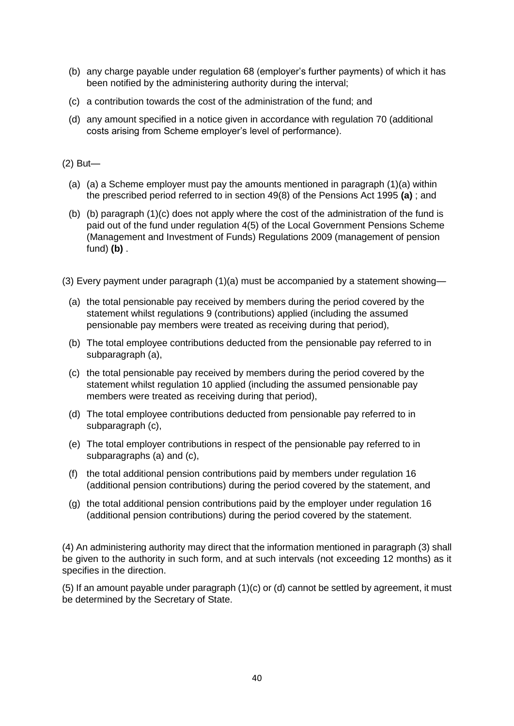- (b) any charge payable under regulation 68 (employer's further payments) of which it has been notified by the administering authority during the interval;
- (c) a contribution towards the cost of the administration of the fund; and
- (d) any amount specified in a notice given in accordance with regulation 70 (additional costs arising from Scheme employer's level of performance).

(2) But—

- (a) (a) a Scheme employer must pay the amounts mentioned in paragraph (1)(a) within the prescribed period referred to in section 49(8) of the Pensions Act 1995 **(a)** ; and
- (b) (b) paragraph (1)(c) does not apply where the cost of the administration of the fund is paid out of the fund under regulation 4(5) of the Local Government Pensions Scheme (Management and Investment of Funds) Regulations 2009 (management of pension fund) **(b)** .
- (3) Every payment under paragraph (1)(a) must be accompanied by a statement showing—
	- (a) the total pensionable pay received by members during the period covered by the statement whilst regulations 9 (contributions) applied (including the assumed pensionable pay members were treated as receiving during that period),
	- (b) The total employee contributions deducted from the pensionable pay referred to in subparagraph (a),
	- (c) the total pensionable pay received by members during the period covered by the statement whilst regulation 10 applied (including the assumed pensionable pay members were treated as receiving during that period),
	- (d) The total employee contributions deducted from pensionable pay referred to in subparagraph (c),
	- (e) The total employer contributions in respect of the pensionable pay referred to in subparagraphs (a) and (c),
	- (f) the total additional pension contributions paid by members under regulation 16 (additional pension contributions) during the period covered by the statement, and
	- (g) the total additional pension contributions paid by the employer under regulation 16 (additional pension contributions) during the period covered by the statement.

 (4) An administering authority may direct that the information mentioned in paragraph (3) shall be given to the authority in such form, and at such intervals (not exceeding 12 months) as it specifies in the direction.

 (5) If an amount payable under paragraph (1)(c) or (d) cannot be settled by agreement, it must be determined by the Secretary of State.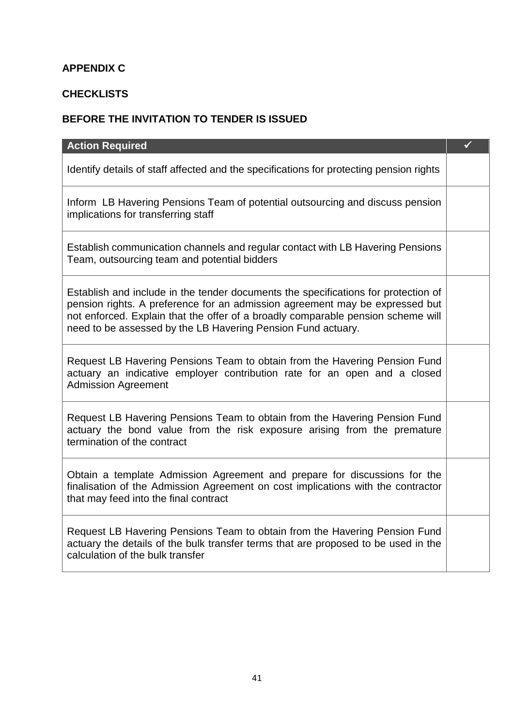### **APPENDIX C**

### **CHECKLISTS**

### **BEFORE THE INVITATION TO TENDER IS ISSUED**

# Identify details of staff affected and the specifications for protecting pension rights Inform LB Havering Pensions Team of potential outsourcing and discuss pension Establish communication channels and regular contact with LB Havering Pensions Establish and include in the tender documents the specifications for protection of pension rights. A preference for an admission agreement may be expressed but not enforced. Explain that the offer of a broadly comparable pension scheme will Request LB Havering Pensions Team to obtain from the Havering Pension Fund actuary an indicative employer contribution rate for an open and a closed Request LB Havering Pensions Team to obtain from the Havering Pension Fund actuary the bond value from the risk exposure arising from the premature termination of the contract Obtain a template Admission Agreement and prepare for discussions for the finalisation of the Admission Agreement on cost implications with the contractor Request LB Havering Pensions Team to obtain from the Havering Pension Fund actuary the details of the bulk transfer terms that are proposed to be used in the **Action Required**  implications for transferring staff Team, outsourcing team and potential bidders need to be assessed by the LB Havering Pension Fund actuary. Admission Agreement that may feed into the final contract calculation of the bulk transfer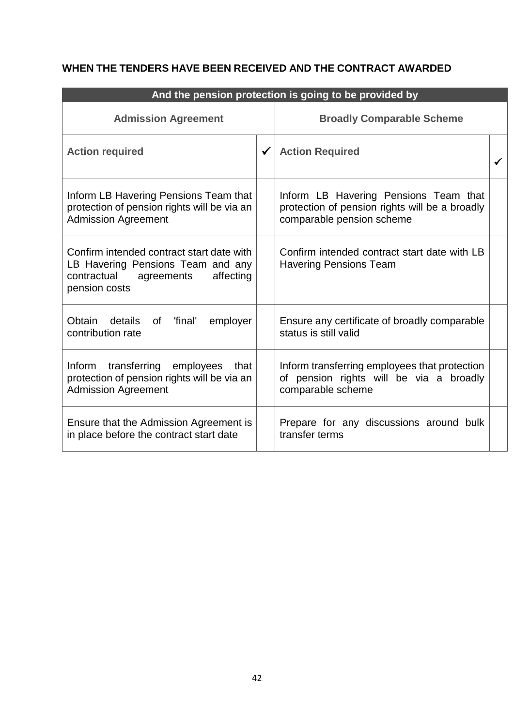### **WHEN THE TENDERS HAVE BEEN RECEIVED AND THE CONTRACT AWARDED**

| And the pension protection is going to be provided by                                                                                  |                                  |                                                                                                                      |  |  |  |
|----------------------------------------------------------------------------------------------------------------------------------------|----------------------------------|----------------------------------------------------------------------------------------------------------------------|--|--|--|
| <b>Admission Agreement</b>                                                                                                             | <b>Broadly Comparable Scheme</b> |                                                                                                                      |  |  |  |
| <b>Action required</b>                                                                                                                 | $\checkmark$                     | <b>Action Required</b>                                                                                               |  |  |  |
| Inform LB Havering Pensions Team that<br>protection of pension rights will be via an<br><b>Admission Agreement</b>                     |                                  | Inform LB Havering Pensions Team that<br>protection of pension rights will be a broadly<br>comparable pension scheme |  |  |  |
| Confirm intended contract start date with<br>LB Havering Pensions Team and any<br>contractual agreements<br>affecting<br>pension costs |                                  | Confirm intended contract start date with LB<br><b>Havering Pensions Team</b>                                        |  |  |  |
| Obtain details<br>'final'<br>0f<br>employer<br>contribution rate                                                                       |                                  | Ensure any certificate of broadly comparable<br>status is still valid                                                |  |  |  |
| Inform transferring employees that<br>protection of pension rights will be via an<br><b>Admission Agreement</b>                        |                                  | Inform transferring employees that protection<br>of pension rights will be via a broadly<br>comparable scheme        |  |  |  |
| Ensure that the Admission Agreement is<br>in place before the contract start date                                                      |                                  | Prepare for any discussions around bulk<br>transfer terms                                                            |  |  |  |